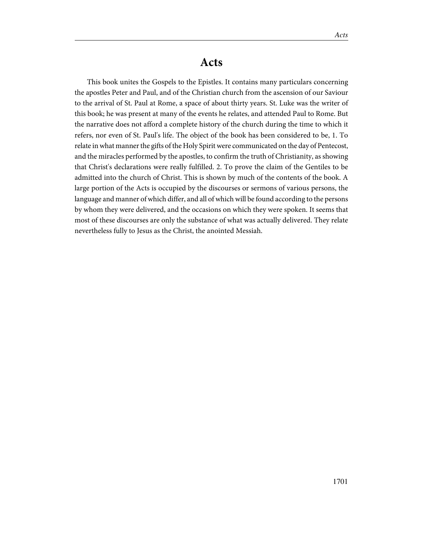# **Acts**

This book unites the Gospels to the Epistles. It contains many particulars concerning the apostles Peter and Paul, and of the Christian church from the ascension of our Saviour to the arrival of St. Paul at Rome, a space of about thirty years. St. Luke was the writer of this book; he was present at many of the events he relates, and attended Paul to Rome. But the narrative does not afford a complete history of the church during the time to which it refers, nor even of St. Paul's life. The object of the book has been considered to be, 1. To relate in what manner the gifts of the Holy Spirit were communicated on the day of Pentecost, and the miracles performed by the apostles, to confirm the truth of Christianity, as showing that Christ's declarations were really fulfilled. 2. To prove the claim of the Gentiles to be admitted into the church of Christ. This is shown by much of the contents of the book. A large portion of the Acts is occupied by the discourses or sermons of various persons, the language and manner of which differ, and all of which will be found according to the persons by whom they were delivered, and the occasions on which they were spoken. It seems that most of these discourses are only the substance of what was actually delivered. They relate nevertheless fully to Jesus as the Christ, the anointed Messiah.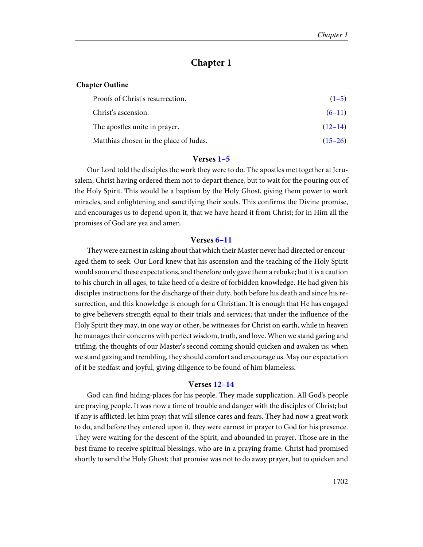### **Chapter Outline**

| Proofs of Christ's resurrection.       | $(1-5)$   |  |
|----------------------------------------|-----------|--|
| Christ's ascension.                    | $(6-11)$  |  |
| The apostles unite in prayer.          | $(12-14)$ |  |
| Matthias chosen in the place of Judas. | $(15-26)$ |  |

# **Verses [1–5](http://www.ccel.org/study/Bible:Acts.1.1-Acts.1.5)**

Our Lord told the disciples the work they were to do. The apostles met together at Jerusalem; Christ having ordered them not to depart thence, but to wait for the pouring out of the Holy Spirit. This would be a baptism by the Holy Ghost, giving them power to work miracles, and enlightening and sanctifying their souls. This confirms the Divine promise, and encourages us to depend upon it, that we have heard it from Christ; for in Him all the promises of God are yea and amen.

# **Verses [6–11](http://www.ccel.org/study/Bible:Acts.1.6-Acts.1.11)**

They were earnest in asking about that which their Master never had directed or encouraged them to seek. Our Lord knew that his ascension and the teaching of the Holy Spirit would soon end these expectations, and therefore only gave them a rebuke; but it is a caution to his church in all ages, to take heed of a desire of forbidden knowledge. He had given his disciples instructions for the discharge of their duty, both before his death and since his resurrection, and this knowledge is enough for a Christian. It is enough that He has engaged to give believers strength equal to their trials and services; that under the influence of the Holy Spirit they may, in one way or other, be witnesses for Christ on earth, while in heaven he manages their concerns with perfect wisdom, truth, and love. When we stand gazing and trifling, the thoughts of our Master's second coming should quicken and awaken us: when we stand gazing and trembling, they should comfort and encourage us. May our expectation of it be stedfast and joyful, giving diligence to be found of him blameless.

## **Verses [12–14](http://www.ccel.org/study/Bible:Acts.1.12-Acts.1.14)**

God can find hiding-places for his people. They made supplication. All God's people are praying people. It was now a time of trouble and danger with the disciples of Christ; but if any is afflicted, let him pray; that will silence cares and fears. They had now a great work to do, and before they entered upon it, they were earnest in prayer to God for his presence. They were waiting for the descent of the Spirit, and abounded in prayer. Those are in the best frame to receive spiritual blessings, who are in a praying frame. Christ had promised shortly to send the Holy Ghost; that promise was not to do away prayer, but to quicken and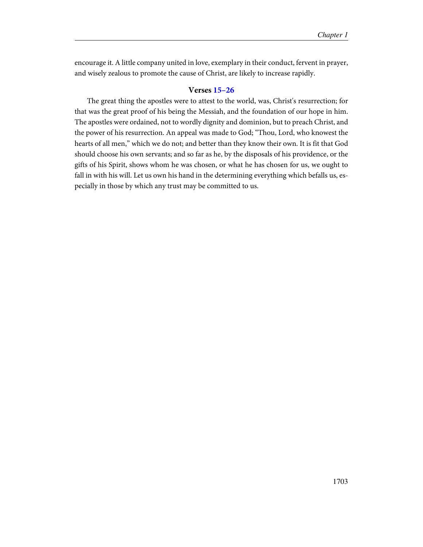encourage it. A little company united in love, exemplary in their conduct, fervent in prayer, and wisely zealous to promote the cause of Christ, are likely to increase rapidly.

# **Verses [15–26](http://www.ccel.org/study/Bible:Acts.1.15-Acts.1.26)**

The great thing the apostles were to attest to the world, was, Christ's resurrection; for that was the great proof of his being the Messiah, and the foundation of our hope in him. The apostles were ordained, not to wordly dignity and dominion, but to preach Christ, and the power of his resurrection. An appeal was made to God; "Thou, Lord, who knowest the hearts of all men," which we do not; and better than they know their own. It is fit that God should choose his own servants; and so far as he, by the disposals of his providence, or the gifts of his Spirit, shows whom he was chosen, or what he has chosen for us, we ought to fall in with his will. Let us own his hand in the determining everything which befalls us, especially in those by which any trust may be committed to us.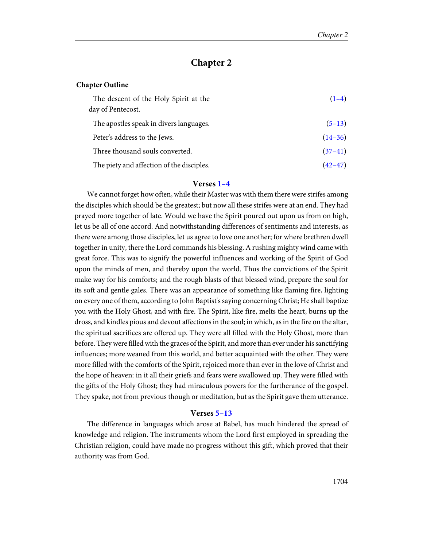### **Chapter Outline**

| The descent of the Holy Spirit at the     | $(1-4)$     |
|-------------------------------------------|-------------|
| day of Pentecost.                         |             |
| The apostles speak in divers languages.   | $(5-13)$    |
| Peter's address to the Jews.              | $(14-36)$   |
| Three thousand souls converted.           | $(37-41)$   |
| The piety and affection of the disciples. | $(42 - 47)$ |

# **Verses [1–4](http://www.ccel.org/study/Bible:Acts.2.1-Acts.2.4)**

We cannot forget how often, while their Master was with them there were strifes among the disciples which should be the greatest; but now all these strifes were at an end. They had prayed more together of late. Would we have the Spirit poured out upon us from on high, let us be all of one accord. And notwithstanding differences of sentiments and interests, as there were among those disciples, let us agree to love one another; for where brethren dwell together in unity, there the Lord commands his blessing. A rushing mighty wind came with great force. This was to signify the powerful influences and working of the Spirit of God upon the minds of men, and thereby upon the world. Thus the convictions of the Spirit make way for his comforts; and the rough blasts of that blessed wind, prepare the soul for its soft and gentle gales. There was an appearance of something like flaming fire, lighting on every one of them, according to John Baptist's saying concerning Christ; He shall baptize you with the Holy Ghost, and with fire. The Spirit, like fire, melts the heart, burns up the dross, and kindles pious and devout affections in the soul; in which, as in the fire on the altar, the spiritual sacrifices are offered up. They were all filled with the Holy Ghost, more than before. They were filled with the graces of the Spirit, and more than ever under his sanctifying influences; more weaned from this world, and better acquainted with the other. They were more filled with the comforts of the Spirit, rejoiced more than ever in the love of Christ and the hope of heaven: in it all their griefs and fears were swallowed up. They were filled with the gifts of the Holy Ghost; they had miraculous powers for the furtherance of the gospel. They spake, not from previous though or meditation, but as the Spirit gave them utterance.

## **Verses [5–13](http://www.ccel.org/study/Bible:Acts.2.5-Acts.2.13)**

The difference in languages which arose at Babel, has much hindered the spread of knowledge and religion. The instruments whom the Lord first employed in spreading the Christian religion, could have made no progress without this gift, which proved that their authority was from God.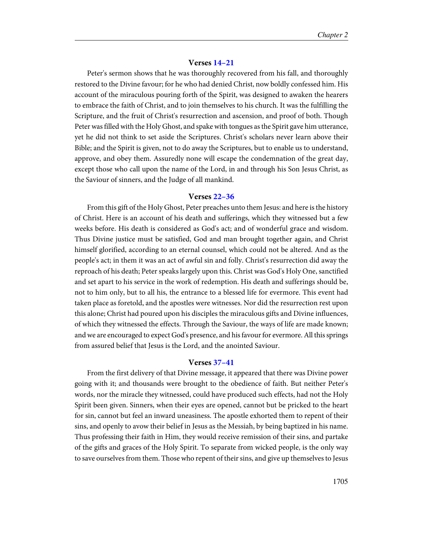# **Verses [14–21](http://www.ccel.org/study/Bible:Acts.2.14-Acts.2.21)**

Peter's sermon shows that he was thoroughly recovered from his fall, and thoroughly restored to the Divine favour; for he who had denied Christ, now boldly confessed him. His account of the miraculous pouring forth of the Spirit, was designed to awaken the hearers to embrace the faith of Christ, and to join themselves to his church. It was the fulfilling the Scripture, and the fruit of Christ's resurrection and ascension, and proof of both. Though Peter was filled with the Holy Ghost, and spake with tongues as the Spirit gave him utterance, yet he did not think to set aside the Scriptures. Christ's scholars never learn above their Bible; and the Spirit is given, not to do away the Scriptures, but to enable us to understand, approve, and obey them. Assuredly none will escape the condemnation of the great day, except those who call upon the name of the Lord, in and through his Son Jesus Christ, as the Saviour of sinners, and the Judge of all mankind.

#### **Verses [22–36](http://www.ccel.org/study/Bible:Acts.2.22-Acts.2.36)**

From this gift of the Holy Ghost, Peter preaches unto them Jesus: and here is the history of Christ. Here is an account of his death and sufferings, which they witnessed but a few weeks before. His death is considered as God's act; and of wonderful grace and wisdom. Thus Divine justice must be satisfied, God and man brought together again, and Christ himself glorified, according to an eternal counsel, which could not be altered. And as the people's act; in them it was an act of awful sin and folly. Christ's resurrection did away the reproach of his death; Peter speaks largely upon this. Christ was God's Holy One, sanctified and set apart to his service in the work of redemption. His death and sufferings should be, not to him only, but to all his, the entrance to a blessed life for evermore. This event had taken place as foretold, and the apostles were witnesses. Nor did the resurrection rest upon this alone; Christ had poured upon his disciples the miraculous gifts and Divine influences, of which they witnessed the effects. Through the Saviour, the ways of life are made known; and we are encouraged to expect God's presence, and his favour for evermore. All this springs from assured belief that Jesus is the Lord, and the anointed Saviour.

## **Verses [37–41](http://www.ccel.org/study/Bible:Acts.2.37-Acts.2.41)**

From the first delivery of that Divine message, it appeared that there was Divine power going with it; and thousands were brought to the obedience of faith. But neither Peter's words, nor the miracle they witnessed, could have produced such effects, had not the Holy Spirit been given. Sinners, when their eyes are opened, cannot but be pricked to the heart for sin, cannot but feel an inward uneasiness. The apostle exhorted them to repent of their sins, and openly to avow their belief in Jesus as the Messiah, by being baptized in his name. Thus professing their faith in Him, they would receive remission of their sins, and partake of the gifts and graces of the Holy Spirit. To separate from wicked people, is the only way to save ourselves from them. Those who repent of their sins, and give up themselves to Jesus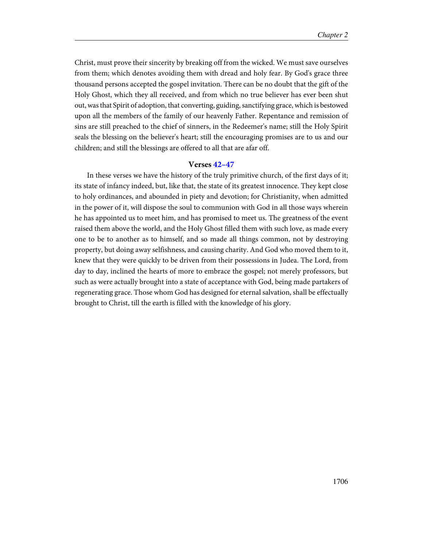Christ, must prove their sincerity by breaking off from the wicked. We must save ourselves from them; which denotes avoiding them with dread and holy fear. By God's grace three thousand persons accepted the gospel invitation. There can be no doubt that the gift of the Holy Ghost, which they all received, and from which no true believer has ever been shut out, was that Spirit of adoption, that converting, guiding, sanctifying grace, which is bestowed upon all the members of the family of our heavenly Father. Repentance and remission of sins are still preached to the chief of sinners, in the Redeemer's name; still the Holy Spirit seals the blessing on the believer's heart; still the encouraging promises are to us and our children; and still the blessings are offered to all that are afar off.

# **Verses [42–47](http://www.ccel.org/study/Bible:Acts.2.42-Acts.2.47)**

In these verses we have the history of the truly primitive church, of the first days of it; its state of infancy indeed, but, like that, the state of its greatest innocence. They kept close to holy ordinances, and abounded in piety and devotion; for Christianity, when admitted in the power of it, will dispose the soul to communion with God in all those ways wherein he has appointed us to meet him, and has promised to meet us. The greatness of the event raised them above the world, and the Holy Ghost filled them with such love, as made every one to be to another as to himself, and so made all things common, not by destroying property, but doing away selfishness, and causing charity. And God who moved them to it, knew that they were quickly to be driven from their possessions in Judea. The Lord, from day to day, inclined the hearts of more to embrace the gospel; not merely professors, but such as were actually brought into a state of acceptance with God, being made partakers of regenerating grace. Those whom God has designed for eternal salvation, shall be effectually brought to Christ, till the earth is filled with the knowledge of his glory.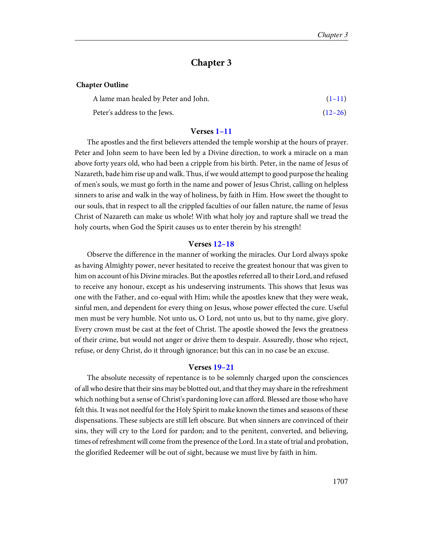#### **Chapter Outline**

| A lame man healed by Peter and John. | $(1-11)$  |
|--------------------------------------|-----------|
| Peter's address to the Jews.         | $(12-26)$ |

## **Verses [1–11](http://www.ccel.org/study/Bible:Acts.3.1-Acts.3.11)**

The apostles and the first believers attended the temple worship at the hours of prayer. Peter and John seem to have been led by a Divine direction, to work a miracle on a man above forty years old, who had been a cripple from his birth. Peter, in the name of Jesus of Nazareth, bade him rise up and walk. Thus, if we would attempt to good purpose the healing of men's souls, we must go forth in the name and power of Jesus Christ, calling on helpless sinners to arise and walk in the way of holiness, by faith in Him. How sweet the thought to our souls, that in respect to all the crippled faculties of our fallen nature, the name of Jesus Christ of Nazareth can make us whole! With what holy joy and rapture shall we tread the holy courts, when God the Spirit causes us to enter therein by his strength!

#### **Verses [12–18](http://www.ccel.org/study/Bible:Acts.3.12-Acts.3.18)**

Observe the difference in the manner of working the miracles. Our Lord always spoke as having Almighty power, never hesitated to receive the greatest honour that was given to him on account of his Divine miracles. But the apostles referred all to their Lord, and refused to receive any honour, except as his undeserving instruments. This shows that Jesus was one with the Father, and co-equal with Him; while the apostles knew that they were weak, sinful men, and dependent for every thing on Jesus, whose power effected the cure. Useful men must be very humble. Not unto us, O Lord, not unto us, but to thy name, give glory. Every crown must be cast at the feet of Christ. The apostle showed the Jews the greatness of their crime, but would not anger or drive them to despair. Assuredly, those who reject, refuse, or deny Christ, do it through ignorance; but this can in no case be an excuse.

#### **Verses [19–21](http://www.ccel.org/study/Bible:Acts.3.19-Acts.3.21)**

The absolute necessity of repentance is to be solemnly charged upon the consciences of all who desire that their sins may be blotted out, and that they may share in the refreshment which nothing but a sense of Christ's pardoning love can afford. Blessed are those who have felt this. It was not needful for the Holy Spirit to make known the times and seasons of these dispensations. These subjects are still left obscure. But when sinners are convinced of their sins, they will cry to the Lord for pardon; and to the penitent, converted, and believing, times of refreshment will come from the presence of the Lord. In a state of trial and probation, the glorified Redeemer will be out of sight, because we must live by faith in him.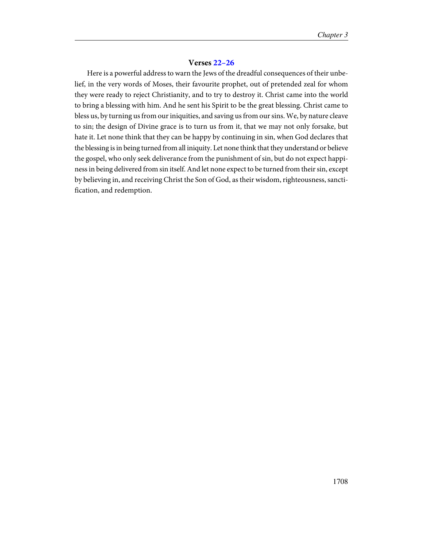# **Verses [22–26](http://www.ccel.org/study/Bible:Acts.3.22-Acts.3.26)**

Here is a powerful address to warn the Jews of the dreadful consequences of their unbelief, in the very words of Moses, their favourite prophet, out of pretended zeal for whom they were ready to reject Christianity, and to try to destroy it. Christ came into the world to bring a blessing with him. And he sent his Spirit to be the great blessing. Christ came to bless us, by turning us from our iniquities, and saving us from our sins. We, by nature cleave to sin; the design of Divine grace is to turn us from it, that we may not only forsake, but hate it. Let none think that they can be happy by continuing in sin, when God declares that the blessing is in being turned from all iniquity. Let none think that they understand or believe the gospel, who only seek deliverance from the punishment of sin, but do not expect happiness in being delivered from sin itself. And let none expect to be turned from their sin, except by believing in, and receiving Christ the Son of God, as their wisdom, righteousness, sanctification, and redemption.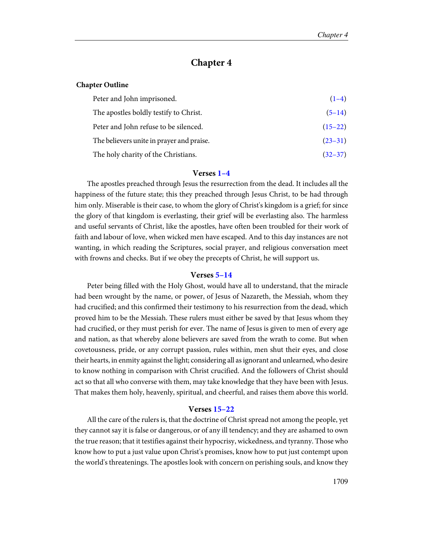### **Chapter Outline**

| Peter and John imprisoned.                | $(1-4)$     |
|-------------------------------------------|-------------|
| The apostles boldly testify to Christ.    | $(5-14)$    |
| Peter and John refuse to be silenced.     | $(15-22)$   |
| The believers unite in prayer and praise. | $(23-31)$   |
| The holy charity of the Christians.       | $(32 - 37)$ |

## **Verses [1–4](http://www.ccel.org/study/Bible:Acts.4.1-Acts.4.4)**

The apostles preached through Jesus the resurrection from the dead. It includes all the happiness of the future state; this they preached through Jesus Christ, to be had through him only. Miserable is their case, to whom the glory of Christ's kingdom is a grief; for since the glory of that kingdom is everlasting, their grief will be everlasting also. The harmless and useful servants of Christ, like the apostles, have often been troubled for their work of faith and labour of love, when wicked men have escaped. And to this day instances are not wanting, in which reading the Scriptures, social prayer, and religious conversation meet with frowns and checks. But if we obey the precepts of Christ, he will support us.

#### **Verses [5–14](http://www.ccel.org/study/Bible:Acts.4.5-Acts.4.14)**

Peter being filled with the Holy Ghost, would have all to understand, that the miracle had been wrought by the name, or power, of Jesus of Nazareth, the Messiah, whom they had crucified; and this confirmed their testimony to his resurrection from the dead, which proved him to be the Messiah. These rulers must either be saved by that Jesus whom they had crucified, or they must perish for ever. The name of Jesus is given to men of every age and nation, as that whereby alone believers are saved from the wrath to come. But when covetousness, pride, or any corrupt passion, rules within, men shut their eyes, and close their hearts, in enmity against the light; considering all as ignorant and unlearned, who desire to know nothing in comparison with Christ crucified. And the followers of Christ should act so that all who converse with them, may take knowledge that they have been with Jesus. That makes them holy, heavenly, spiritual, and cheerful, and raises them above this world.

### **Verses [15–22](http://www.ccel.org/study/Bible:Acts.4.15-Acts.4.22)**

All the care of the rulers is, that the doctrine of Christ spread not among the people, yet they cannot say it is false or dangerous, or of any ill tendency; and they are ashamed to own the true reason; that it testifies against their hypocrisy, wickedness, and tyranny. Those who know how to put a just value upon Christ's promises, know how to put just contempt upon the world's threatenings. The apostles look with concern on perishing souls, and know they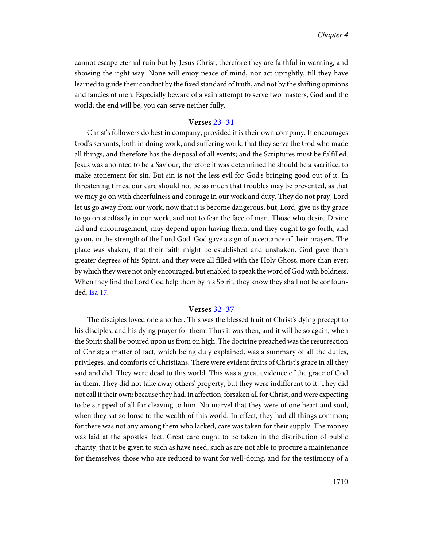cannot escape eternal ruin but by Jesus Christ, therefore they are faithful in warning, and showing the right way. None will enjoy peace of mind, nor act uprightly, till they have learned to guide their conduct by the fixed standard of truth, and not by the shifting opinions and fancies of men. Especially beware of a vain attempt to serve two masters, God and the world; the end will be, you can serve neither fully.

### **Verses [23–31](http://www.ccel.org/study/Bible:Acts.4.23-Acts.4.31)**

Christ's followers do best in company, provided it is their own company. It encourages God's servants, both in doing work, and suffering work, that they serve the God who made all things, and therefore has the disposal of all events; and the Scriptures must be fulfilled. Jesus was anointed to be a Saviour, therefore it was determined he should be a sacrifice, to make atonement for sin. But sin is not the less evil for God's bringing good out of it. In threatening times, our care should not be so much that troubles may be prevented, as that we may go on with cheerfulness and courage in our work and duty. They do not pray, Lord let us go away from our work, now that it is become dangerous, but, Lord, give us thy grace to go on stedfastly in our work, and not to fear the face of man. Those who desire Divine aid and encouragement, may depend upon having them, and they ought to go forth, and go on, in the strength of the Lord God. God gave a sign of acceptance of their prayers. The place was shaken, that their faith might be established and unshaken. God gave them greater degrees of his Spirit; and they were all filled with the Holy Ghost, more than ever; by which they were not only encouraged, but enabled to speak the word of God with boldness. When they find the Lord God help them by his Spirit, they know they shall not be confounded, [Isa 17.](http://www.ccel.org/study/Bible:Isa.17)

## **Verses [32–37](http://www.ccel.org/study/Bible:Acts.4.32-Acts.4.37)**

The disciples loved one another. This was the blessed fruit of Christ's dying precept to his disciples, and his dying prayer for them. Thus it was then, and it will be so again, when the Spirit shall be poured upon us from on high. The doctrine preached was the resurrection of Christ; a matter of fact, which being duly explained, was a summary of all the duties, privileges, and comforts of Christians. There were evident fruits of Christ's grace in all they said and did. They were dead to this world. This was a great evidence of the grace of God in them. They did not take away others' property, but they were indifferent to it. They did not call it their own; because they had, in affection, forsaken all for Christ, and were expecting to be stripped of all for cleaving to him. No marvel that they were of one heart and soul, when they sat so loose to the wealth of this world. In effect, they had all things common; for there was not any among them who lacked, care was taken for their supply. The money was laid at the apostles' feet. Great care ought to be taken in the distribution of public charity, that it be given to such as have need, such as are not able to procure a maintenance for themselves; those who are reduced to want for well-doing, and for the testimony of a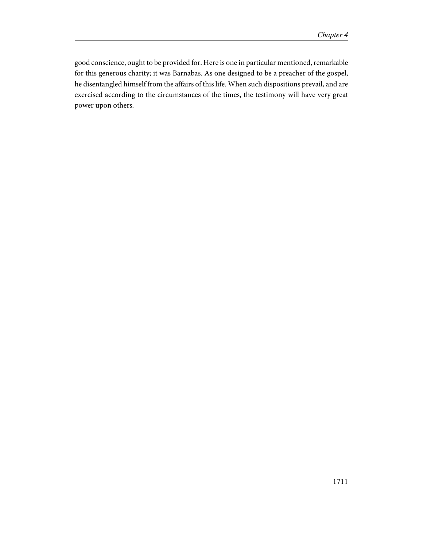good conscience, ought to be provided for. Here is one in particular mentioned, remarkable for this generous charity; it was Barnabas. As one designed to be a preacher of the gospel, he disentangled himself from the affairs of this life. When such dispositions prevail, and are exercised according to the circumstances of the times, the testimony will have very great power upon others.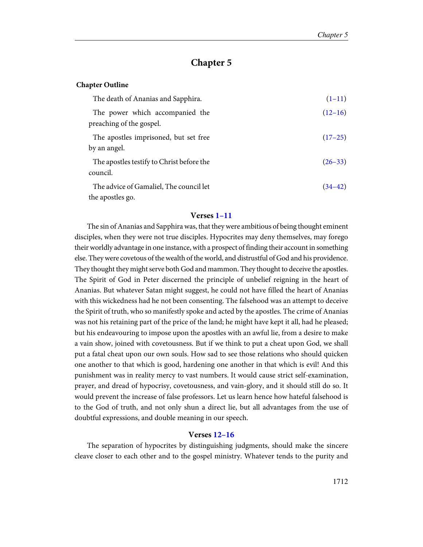### **Chapter Outline**

| The death of Ananias and Sapphira.                          | $(1-11)$    |
|-------------------------------------------------------------|-------------|
| The power which accompanied the<br>preaching of the gospel. | $(12-16)$   |
| The apostles imprisoned, but set free<br>by an angel.       | $(17-25)$   |
| The apostles testify to Christ before the<br>council.       | $(26 - 33)$ |
| The advice of Gamaliel, The council let<br>the apostles go. | $(34-42)$   |

# **Verses [1–11](http://www.ccel.org/study/Bible:Acts.5.1-Acts.5.11)**

The sin of Ananias and Sapphira was, that they were ambitious of being thought eminent disciples, when they were not true disciples. Hypocrites may deny themselves, may forego their worldly advantage in one instance, with a prospect of finding their account in something else. They were covetous of the wealth of the world, and distrustful of God and his providence. They thought they might serve both God and mammon. They thought to deceive the apostles. The Spirit of God in Peter discerned the principle of unbelief reigning in the heart of Ananias. But whatever Satan might suggest, he could not have filled the heart of Ananias with this wickedness had he not been consenting. The falsehood was an attempt to deceive the Spirit of truth, who so manifestly spoke and acted by the apostles. The crime of Ananias was not his retaining part of the price of the land; he might have kept it all, had he pleased; but his endeavouring to impose upon the apostles with an awful lie, from a desire to make a vain show, joined with covetousness. But if we think to put a cheat upon God, we shall put a fatal cheat upon our own souls. How sad to see those relations who should quicken one another to that which is good, hardening one another in that which is evil! And this punishment was in reality mercy to vast numbers. It would cause strict self-examination, prayer, and dread of hypocrisy, covetousness, and vain-glory, and it should still do so. It would prevent the increase of false professors. Let us learn hence how hateful falsehood is to the God of truth, and not only shun a direct lie, but all advantages from the use of doubtful expressions, and double meaning in our speech.

### **Verses [12–16](http://www.ccel.org/study/Bible:Acts.5.12-Acts.5.16)**

The separation of hypocrites by distinguishing judgments, should make the sincere cleave closer to each other and to the gospel ministry. Whatever tends to the purity and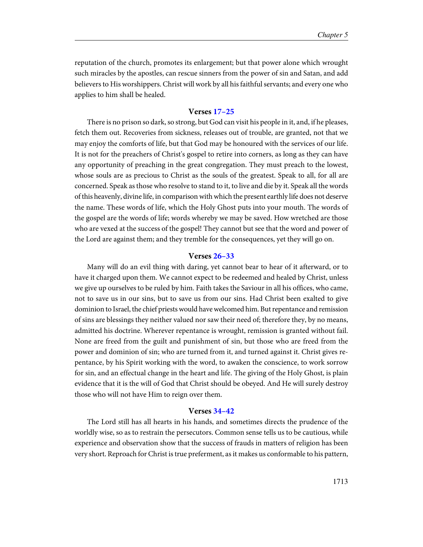reputation of the church, promotes its enlargement; but that power alone which wrought such miracles by the apostles, can rescue sinners from the power of sin and Satan, and add believers to His worshippers. Christ will work by all his faithful servants; and every one who applies to him shall be healed.

## **Verses [17–25](http://www.ccel.org/study/Bible:Acts.5.17-Acts.5.25)**

There is no prison so dark, so strong, but God can visit his people in it, and, if he pleases, fetch them out. Recoveries from sickness, releases out of trouble, are granted, not that we may enjoy the comforts of life, but that God may be honoured with the services of our life. It is not for the preachers of Christ's gospel to retire into corners, as long as they can have any opportunity of preaching in the great congregation. They must preach to the lowest, whose souls are as precious to Christ as the souls of the greatest. Speak to all, for all are concerned. Speak as those who resolve to stand to it, to live and die by it. Speak all the words of this heavenly, divine life, in comparison with which the present earthly life does not deserve the name. These words of life, which the Holy Ghost puts into your mouth. The words of the gospel are the words of life; words whereby we may be saved. How wretched are those who are vexed at the success of the gospel! They cannot but see that the word and power of the Lord are against them; and they tremble for the consequences, yet they will go on.

## **Verses [26–33](http://www.ccel.org/study/Bible:Acts.5.26-Acts.5.33)**

Many will do an evil thing with daring, yet cannot bear to hear of it afterward, or to have it charged upon them. We cannot expect to be redeemed and healed by Christ, unless we give up ourselves to be ruled by him. Faith takes the Saviour in all his offices, who came, not to save us in our sins, but to save us from our sins. Had Christ been exalted to give dominion to Israel, the chief priests would have welcomed him. But repentance and remission of sins are blessings they neither valued nor saw their need of; therefore they, by no means, admitted his doctrine. Wherever repentance is wrought, remission is granted without fail. None are freed from the guilt and punishment of sin, but those who are freed from the power and dominion of sin; who are turned from it, and turned against it. Christ gives repentance, by his Spirit working with the word, to awaken the conscience, to work sorrow for sin, and an effectual change in the heart and life. The giving of the Holy Ghost, is plain evidence that it is the will of God that Christ should be obeyed. And He will surely destroy those who will not have Him to reign over them.

## **Verses [34–42](http://www.ccel.org/study/Bible:Acts.5.34-Acts.5.42)**

The Lord still has all hearts in his hands, and sometimes directs the prudence of the worldly wise, so as to restrain the persecutors. Common sense tells us to be cautious, while experience and observation show that the success of frauds in matters of religion has been very short. Reproach for Christ is true preferment, as it makes us conformable to his pattern,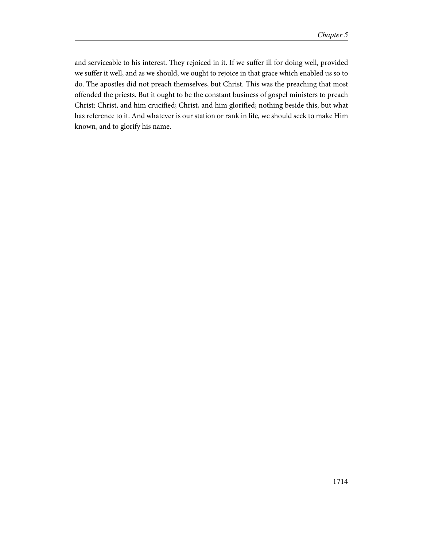and serviceable to his interest. They rejoiced in it. If we suffer ill for doing well, provided we suffer it well, and as we should, we ought to rejoice in that grace which enabled us so to do. The apostles did not preach themselves, but Christ. This was the preaching that most offended the priests. But it ought to be the constant business of gospel ministers to preach Christ: Christ, and him crucified; Christ, and him glorified; nothing beside this, but what has reference to it. And whatever is our station or rank in life, we should seek to make Him known, and to glorify his name.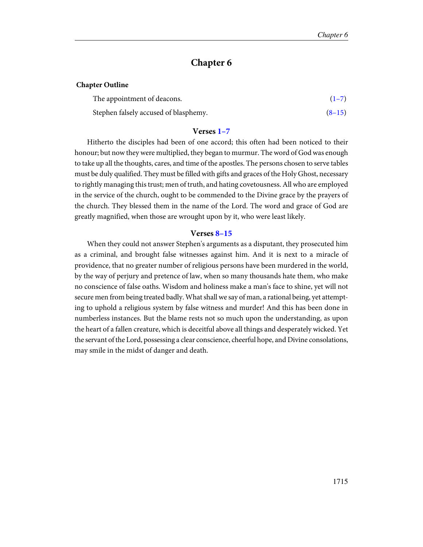## **Chapter Outline**

| The appointment of deacons.           | $(1-7)$  |
|---------------------------------------|----------|
| Stephen falsely accused of blasphemy. | $(8-15)$ |

### **Verses [1–7](http://www.ccel.org/study/Bible:Acts.6.1-Acts.6.7)**

Hitherto the disciples had been of one accord; this often had been noticed to their honour; but now they were multiplied, they began to murmur. The word of God was enough to take up all the thoughts, cares, and time of the apostles. The persons chosen to serve tables must be duly qualified. They must be filled with gifts and graces of the Holy Ghost, necessary to rightly managing this trust; men of truth, and hating covetousness. All who are employed in the service of the church, ought to be commended to the Divine grace by the prayers of the church. They blessed them in the name of the Lord. The word and grace of God are greatly magnified, when those are wrought upon by it, who were least likely.

### **Verses [8–15](http://www.ccel.org/study/Bible:Acts.6.8-Acts.6.15)**

When they could not answer Stephen's arguments as a disputant, they prosecuted him as a criminal, and brought false witnesses against him. And it is next to a miracle of providence, that no greater number of religious persons have been murdered in the world, by the way of perjury and pretence of law, when so many thousands hate them, who make no conscience of false oaths. Wisdom and holiness make a man's face to shine, yet will not secure men from being treated badly. What shall we say of man, a rational being, yet attempting to uphold a religious system by false witness and murder! And this has been done in numberless instances. But the blame rests not so much upon the understanding, as upon the heart of a fallen creature, which is deceitful above all things and desperately wicked. Yet the servant of the Lord, possessing a clear conscience, cheerful hope, and Divine consolations, may smile in the midst of danger and death.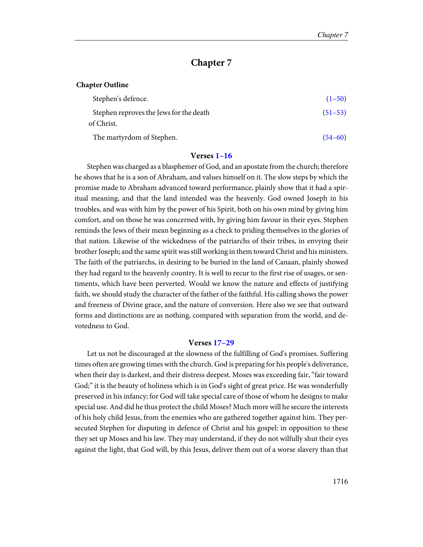### **Chapter Outline**

| Stephen's defence.                                    | $(1 - 50)$  |
|-------------------------------------------------------|-------------|
| Stephen reproves the Jews for the death<br>of Christ. | $(51 - 53)$ |
| The martyrdom of Stephen.                             | $(54-60)$   |

# **Verses [1–16](http://www.ccel.org/study/Bible:Acts.7.1-Acts.7.16)**

Stephen was charged as a blasphemer of God, and an apostate from the church; therefore he shows that he is a son of Abraham, and values himself on it. The slow steps by which the promise made to Abraham advanced toward performance, plainly show that it had a spiritual meaning, and that the land intended was the heavenly. God owned Joseph in his troubles, and was with him by the power of his Spirit, both on his own mind by giving him comfort, and on those he was concerned with, by giving him favour in their eyes. Stephen reminds the Jews of their mean beginning as a check to priding themselves in the glories of that nation. Likewise of the wickedness of the patriarchs of their tribes, in envying their brother Joseph; and the same spirit was still working in them toward Christ and his ministers. The faith of the patriarchs, in desiring to be buried in the land of Canaan, plainly showed they had regard to the heavenly country. It is well to recur to the first rise of usages, or sentiments, which have been perverted. Would we know the nature and effects of justifying faith, we should study the character of the father of the faithful. His calling shows the power and freeness of Divine grace, and the nature of conversion. Here also we see that outward forms and distinctions are as nothing, compared with separation from the world, and devotedness to God.

### **Verses [17–29](http://www.ccel.org/study/Bible:Acts.7.17-Acts.7.29)**

Let us not be discouraged at the slowness of the fulfilling of God's promises. Suffering times often are growing times with the church. God is preparing for his people's deliverance, when their day is darkest, and their distress deepest. Moses was exceeding fair, "fair toward God;" it is the beauty of holiness which is in God's sight of great price. He was wonderfully preserved in his infancy; for God will take special care of those of whom he designs to make special use. And did he thus protect the child Moses? Much more will he secure the interests of his holy child Jesus, from the enemies who are gathered together against him. They persecuted Stephen for disputing in defence of Christ and his gospel: in opposition to these they set up Moses and his law. They may understand, if they do not wilfully shut their eyes against the light, that God will, by this Jesus, deliver them out of a worse slavery than that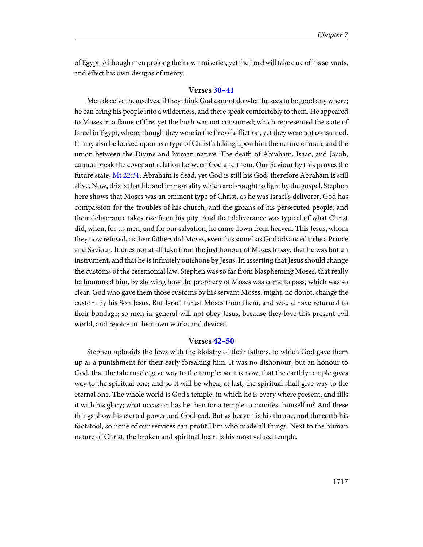of Egypt. Although men prolong their own miseries, yet the Lord will take care of his servants, and effect his own designs of mercy.

## **Verses [30–41](http://www.ccel.org/study/Bible:Acts.7.30-Acts.7.41)**

Men deceive themselves, if they think God cannot do what he sees to be good any where; he can bring his people into a wilderness, and there speak comfortably to them. He appeared to Moses in a flame of fire, yet the bush was not consumed; which represented the state of Israel in Egypt, where, though they were in the fire of affliction, yet they were not consumed. It may also be looked upon as a type of Christ's taking upon him the nature of man, and the union between the Divine and human nature. The death of Abraham, Isaac, and Jacob, cannot break the covenant relation between God and them. Our Saviour by this proves the future state, [Mt 22:31](http://www.ccel.org/study/Bible:Matt.22.31). Abraham is dead, yet God is still his God, therefore Abraham is still alive. Now, this is that life and immortality which are brought to light by the gospel. Stephen here shows that Moses was an eminent type of Christ, as he was Israel's deliverer. God has compassion for the troubles of his church, and the groans of his persecuted people; and their deliverance takes rise from his pity. And that deliverance was typical of what Christ did, when, for us men, and for our salvation, he came down from heaven. This Jesus, whom they now refused, as their fathers did Moses, even this same has God advanced to be a Prince and Saviour. It does not at all take from the just honour of Moses to say, that he was but an instrument, and that he is infinitely outshone by Jesus. In asserting that Jesus should change the customs of the ceremonial law. Stephen was so far from blaspheming Moses, that really he honoured him, by showing how the prophecy of Moses was come to pass, which was so clear. God who gave them those customs by his servant Moses, might, no doubt, change the custom by his Son Jesus. But Israel thrust Moses from them, and would have returned to their bondage; so men in general will not obey Jesus, because they love this present evil world, and rejoice in their own works and devices.

## **Verses [42–50](http://www.ccel.org/study/Bible:Acts.7.42-Acts.7.50)**

Stephen upbraids the Jews with the idolatry of their fathers, to which God gave them up as a punishment for their early forsaking him. It was no dishonour, but an honour to God, that the tabernacle gave way to the temple; so it is now, that the earthly temple gives way to the spiritual one; and so it will be when, at last, the spiritual shall give way to the eternal one. The whole world is God's temple, in which he is every where present, and fills it with his glory; what occasion has he then for a temple to manifest himself in? And these things show his eternal power and Godhead. But as heaven is his throne, and the earth his footstool, so none of our services can profit Him who made all things. Next to the human nature of Christ, the broken and spiritual heart is his most valued temple.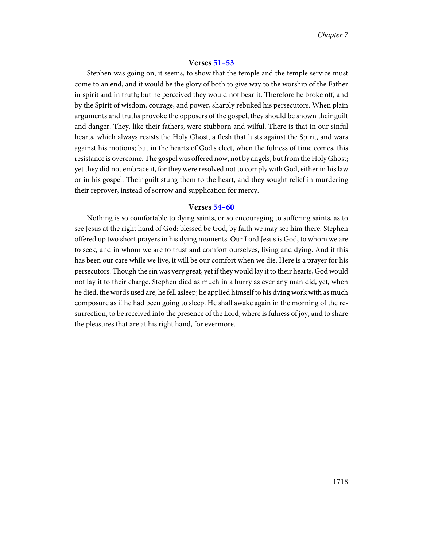# **Verses [51–53](http://www.ccel.org/study/Bible:Acts.7.51-Acts.7.53)**

Stephen was going on, it seems, to show that the temple and the temple service must come to an end, and it would be the glory of both to give way to the worship of the Father in spirit and in truth; but he perceived they would not bear it. Therefore he broke off, and by the Spirit of wisdom, courage, and power, sharply rebuked his persecutors. When plain arguments and truths provoke the opposers of the gospel, they should be shown their guilt and danger. They, like their fathers, were stubborn and wilful. There is that in our sinful hearts, which always resists the Holy Ghost, a flesh that lusts against the Spirit, and wars against his motions; but in the hearts of God's elect, when the fulness of time comes, this resistance is overcome. The gospel was offered now, not by angels, but from the Holy Ghost; yet they did not embrace it, for they were resolved not to comply with God, either in his law or in his gospel. Their guilt stung them to the heart, and they sought relief in murdering their reprover, instead of sorrow and supplication for mercy.

### **Verses [54–60](http://www.ccel.org/study/Bible:Acts.7.54-Acts.7.60)**

Nothing is so comfortable to dying saints, or so encouraging to suffering saints, as to see Jesus at the right hand of God: blessed be God, by faith we may see him there. Stephen offered up two short prayers in his dying moments. Our Lord Jesus is God, to whom we are to seek, and in whom we are to trust and comfort ourselves, living and dying. And if this has been our care while we live, it will be our comfort when we die. Here is a prayer for his persecutors. Though the sin was very great, yet if they would lay it to their hearts, God would not lay it to their charge. Stephen died as much in a hurry as ever any man did, yet, when he died, the words used are, he fell asleep; he applied himself to his dying work with as much composure as if he had been going to sleep. He shall awake again in the morning of the resurrection, to be received into the presence of the Lord, where is fulness of joy, and to share the pleasures that are at his right hand, for evermore.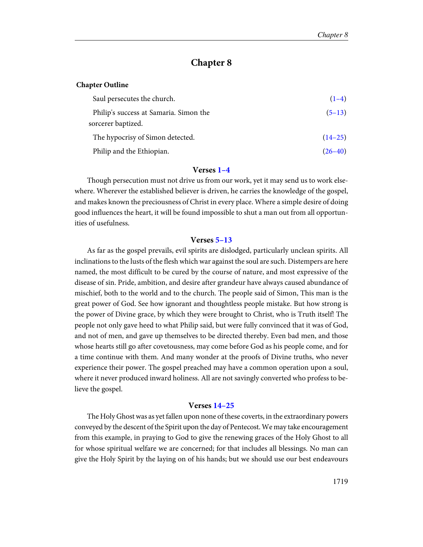## **Chapter Outline**

| Saul persecutes the church.                                  | $(1-4)$     |
|--------------------------------------------------------------|-------------|
| Philip's success at Samaria. Simon the<br>sorcerer baptized. | $(5-13)$    |
| The hypocrisy of Simon detected.                             | $(14-25)$   |
| Philip and the Ethiopian.                                    | $(26 - 40)$ |

## **Verses [1–4](http://www.ccel.org/study/Bible:Acts.8.1-Acts.8.4)**

Though persecution must not drive us from our work, yet it may send us to work elsewhere. Wherever the established believer is driven, he carries the knowledge of the gospel, and makes known the preciousness of Christ in every place. Where a simple desire of doing good influences the heart, it will be found impossible to shut a man out from all opportunities of usefulness.

# **Verses [5–13](http://www.ccel.org/study/Bible:Acts.8.5-Acts.8.13)**

As far as the gospel prevails, evil spirits are dislodged, particularly unclean spirits. All inclinations to the lusts of the flesh which war against the soul are such. Distempers are here named, the most difficult to be cured by the course of nature, and most expressive of the disease of sin. Pride, ambition, and desire after grandeur have always caused abundance of mischief, both to the world and to the church. The people said of Simon, This man is the great power of God. See how ignorant and thoughtless people mistake. But how strong is the power of Divine grace, by which they were brought to Christ, who is Truth itself! The people not only gave heed to what Philip said, but were fully convinced that it was of God, and not of men, and gave up themselves to be directed thereby. Even bad men, and those whose hearts still go after covetousness, may come before God as his people come, and for a time continue with them. And many wonder at the proofs of Divine truths, who never experience their power. The gospel preached may have a common operation upon a soul, where it never produced inward holiness. All are not savingly converted who profess to believe the gospel.

#### **Verses [14–25](http://www.ccel.org/study/Bible:Acts.8.14-Acts.8.25)**

The Holy Ghost was as yet fallen upon none of these coverts, in the extraordinary powers conveyed by the descent of the Spirit upon the day of Pentecost. We may take encouragement from this example, in praying to God to give the renewing graces of the Holy Ghost to all for whose spiritual welfare we are concerned; for that includes all blessings. No man can give the Holy Spirit by the laying on of his hands; but we should use our best endeavours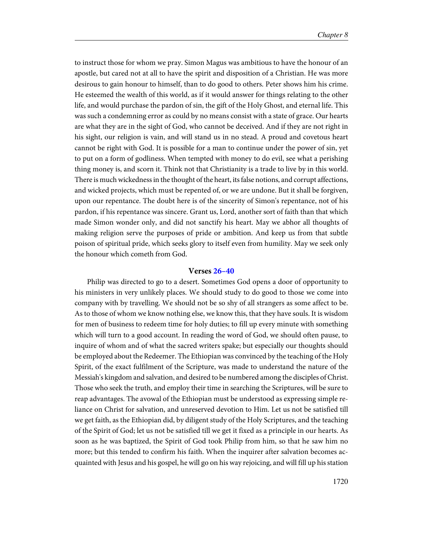to instruct those for whom we pray. Simon Magus was ambitious to have the honour of an apostle, but cared not at all to have the spirit and disposition of a Christian. He was more desirous to gain honour to himself, than to do good to others. Peter shows him his crime. He esteemed the wealth of this world, as if it would answer for things relating to the other life, and would purchase the pardon of sin, the gift of the Holy Ghost, and eternal life. This was such a condemning error as could by no means consist with a state of grace. Our hearts are what they are in the sight of God, who cannot be deceived. And if they are not right in his sight, our religion is vain, and will stand us in no stead. A proud and covetous heart cannot be right with God. It is possible for a man to continue under the power of sin, yet to put on a form of godliness. When tempted with money to do evil, see what a perishing thing money is, and scorn it. Think not that Christianity is a trade to live by in this world. There is much wickedness in the thought of the heart, its false notions, and corrupt affections, and wicked projects, which must be repented of, or we are undone. But it shall be forgiven, upon our repentance. The doubt here is of the sincerity of Simon's repentance, not of his pardon, if his repentance was sincere. Grant us, Lord, another sort of faith than that which made Simon wonder only, and did not sanctify his heart. May we abhor all thoughts of making religion serve the purposes of pride or ambition. And keep us from that subtle poison of spiritual pride, which seeks glory to itself even from humility. May we seek only the honour which cometh from God.

## **Verses [26–40](http://www.ccel.org/study/Bible:Acts.8.26-Acts.8.40)**

Philip was directed to go to a desert. Sometimes God opens a door of opportunity to his ministers in very unlikely places. We should study to do good to those we come into company with by travelling. We should not be so shy of all strangers as some affect to be. As to those of whom we know nothing else, we know this, that they have souls. It is wisdom for men of business to redeem time for holy duties; to fill up every minute with something which will turn to a good account. In reading the word of God, we should often pause, to inquire of whom and of what the sacred writers spake; but especially our thoughts should be employed about the Redeemer. The Ethiopian was convinced by the teaching of the Holy Spirit, of the exact fulfilment of the Scripture, was made to understand the nature of the Messiah's kingdom and salvation, and desired to be numbered among the disciples of Christ. Those who seek the truth, and employ their time in searching the Scriptures, will be sure to reap advantages. The avowal of the Ethiopian must be understood as expressing simple reliance on Christ for salvation, and unreserved devotion to Him. Let us not be satisfied till we get faith, as the Ethiopian did, by diligent study of the Holy Scriptures, and the teaching of the Spirit of God; let us not be satisfied till we get it fixed as a principle in our hearts. As soon as he was baptized, the Spirit of God took Philip from him, so that he saw him no more; but this tended to confirm his faith. When the inquirer after salvation becomes acquainted with Jesus and his gospel, he will go on his way rejoicing, and will fill up his station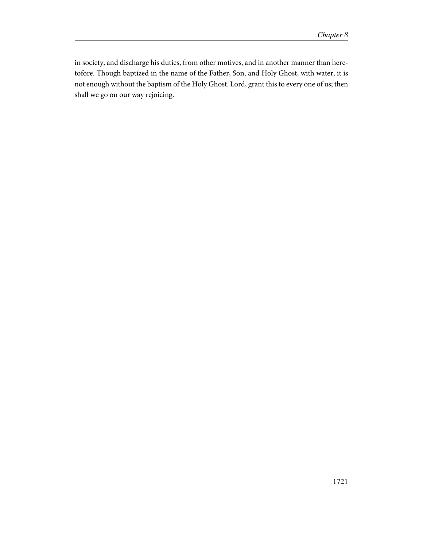in society, and discharge his duties, from other motives, and in another manner than heretofore. Though baptized in the name of the Father, Son, and Holy Ghost, with water, it is not enough without the baptism of the Holy Ghost. Lord, grant this to every one of us; then shall we go on our way rejoicing.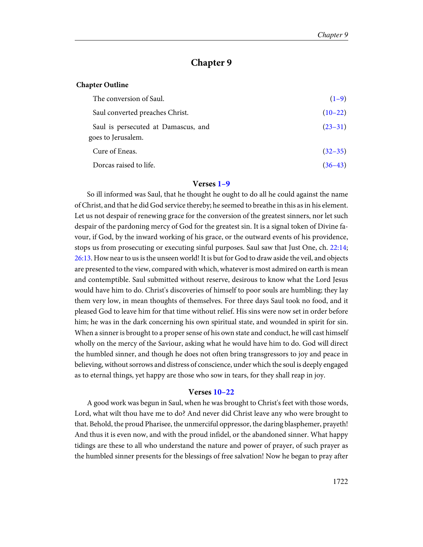### **Chapter Outline**

| The conversion of Saul.                                   | $(1-9)$     |
|-----------------------------------------------------------|-------------|
| Saul converted preaches Christ.                           | $(10-22)$   |
| Saul is persecuted at Damascus, and<br>goes to Jerusalem. | $(23-31)$   |
| Cure of Eneas.                                            | $(32 - 35)$ |
| Dorcas raised to life.                                    | $(36-43)$   |

# **Verses [1–9](http://www.ccel.org/study/Bible:Acts.9.1-Acts.9.9)**

So ill informed was Saul, that he thought he ought to do all he could against the name of Christ, and that he did God service thereby; he seemed to breathe in this as in his element. Let us not despair of renewing grace for the conversion of the greatest sinners, nor let such despair of the pardoning mercy of God for the greatest sin. It is a signal token of Divine favour, if God, by the inward working of his grace, or the outward events of his providence, stops us from prosecuting or executing sinful purposes. Saul saw that Just One, ch. [22:14;](http://www.ccel.org/study/Bible:Acts.22.14) [26:13](http://www.ccel.org/study/Bible:Acts.26.13). How near to us is the unseen world! It is but for God to draw aside the veil, and objects are presented to the view, compared with which, whatever is most admired on earth is mean and contemptible. Saul submitted without reserve, desirous to know what the Lord Jesus would have him to do. Christ's discoveries of himself to poor souls are humbling; they lay them very low, in mean thoughts of themselves. For three days Saul took no food, and it pleased God to leave him for that time without relief. His sins were now set in order before him; he was in the dark concerning his own spiritual state, and wounded in spirit for sin. When a sinner is brought to a proper sense of his own state and conduct, he will cast himself wholly on the mercy of the Saviour, asking what he would have him to do. God will direct the humbled sinner, and though he does not often bring transgressors to joy and peace in believing, without sorrows and distress of conscience, under which the soul is deeply engaged as to eternal things, yet happy are those who sow in tears, for they shall reap in joy.

### **Verses [10–22](http://www.ccel.org/study/Bible:Acts.9.10-Acts.9.22)**

A good work was begun in Saul, when he was brought to Christ's feet with those words, Lord, what wilt thou have me to do? And never did Christ leave any who were brought to that. Behold, the proud Pharisee, the unmerciful oppressor, the daring blasphemer, prayeth! And thus it is even now, and with the proud infidel, or the abandoned sinner. What happy tidings are these to all who understand the nature and power of prayer, of such prayer as the humbled sinner presents for the blessings of free salvation! Now he began to pray after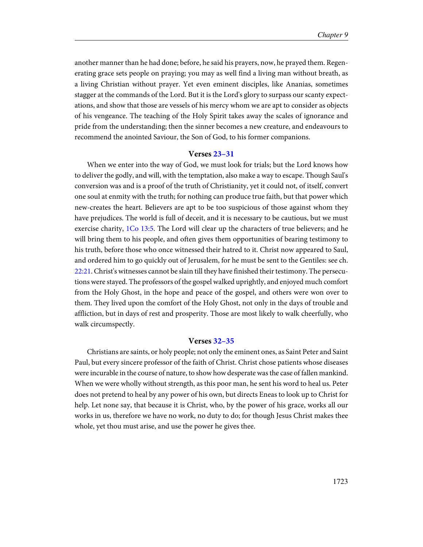another manner than he had done; before, he said his prayers, now, he prayed them. Regenerating grace sets people on praying; you may as well find a living man without breath, as a living Christian without prayer. Yet even eminent disciples, like Ananias, sometimes stagger at the commands of the Lord. But it is the Lord's glory to surpass our scanty expectations, and show that those are vessels of his mercy whom we are apt to consider as objects of his vengeance. The teaching of the Holy Spirit takes away the scales of ignorance and pride from the understanding; then the sinner becomes a new creature, and endeavours to recommend the anointed Saviour, the Son of God, to his former companions.

## **Verses [23–31](http://www.ccel.org/study/Bible:Acts.9.23-Acts.9.31)**

When we enter into the way of God, we must look for trials; but the Lord knows how to deliver the godly, and will, with the temptation, also make a way to escape. Though Saul's conversion was and is a proof of the truth of Christianity, yet it could not, of itself, convert one soul at enmity with the truth; for nothing can produce true faith, but that power which new-creates the heart. Believers are apt to be too suspicious of those against whom they have prejudices. The world is full of deceit, and it is necessary to be cautious, but we must exercise charity, [1Co 13:5](http://www.ccel.org/study/Bible:1Cor.13.5). The Lord will clear up the characters of true believers; and he will bring them to his people, and often gives them opportunities of bearing testimony to his truth, before those who once witnessed their hatred to it. Christ now appeared to Saul, and ordered him to go quickly out of Jerusalem, for he must be sent to the Gentiles: see ch. [22:21.](http://www.ccel.org/study/Bible:Acts.22.21) Christ's witnesses cannot be slain till they have finished their testimony. The persecutions were stayed. The professors of the gospel walked uprightly, and enjoyed much comfort from the Holy Ghost, in the hope and peace of the gospel, and others were won over to them. They lived upon the comfort of the Holy Ghost, not only in the days of trouble and affliction, but in days of rest and prosperity. Those are most likely to walk cheerfully, who walk circumspectly.

## **Verses [32–35](http://www.ccel.org/study/Bible:Acts.9.32-Acts.9.35)**

Christians are saints, or holy people; not only the eminent ones, as Saint Peter and Saint Paul, but every sincere professor of the faith of Christ. Christ chose patients whose diseases were incurable in the course of nature, to show how desperate was the case of fallen mankind. When we were wholly without strength, as this poor man, he sent his word to heal us. Peter does not pretend to heal by any power of his own, but directs Eneas to look up to Christ for help. Let none say, that because it is Christ, who, by the power of his grace, works all our works in us, therefore we have no work, no duty to do; for though Jesus Christ makes thee whole, yet thou must arise, and use the power he gives thee.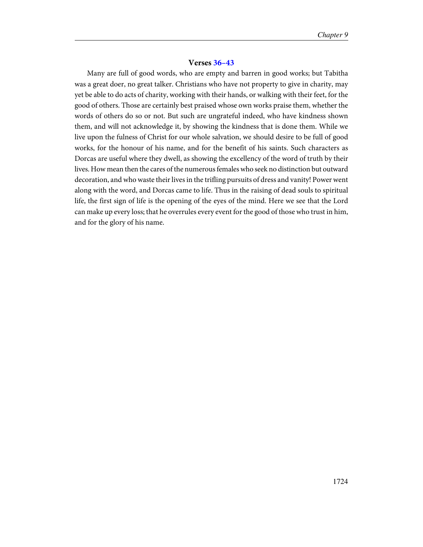# **Verses [36–43](http://www.ccel.org/study/Bible:Acts.9.36-Acts.9.43)**

Many are full of good words, who are empty and barren in good works; but Tabitha was a great doer, no great talker. Christians who have not property to give in charity, may yet be able to do acts of charity, working with their hands, or walking with their feet, for the good of others. Those are certainly best praised whose own works praise them, whether the words of others do so or not. But such are ungrateful indeed, who have kindness shown them, and will not acknowledge it, by showing the kindness that is done them. While we live upon the fulness of Christ for our whole salvation, we should desire to be full of good works, for the honour of his name, and for the benefit of his saints. Such characters as Dorcas are useful where they dwell, as showing the excellency of the word of truth by their lives. How mean then the cares of the numerous females who seek no distinction but outward decoration, and who waste their lives in the trifling pursuits of dress and vanity! Power went along with the word, and Dorcas came to life. Thus in the raising of dead souls to spiritual life, the first sign of life is the opening of the eyes of the mind. Here we see that the Lord can make up every loss; that he overrules every event for the good of those who trust in him, and for the glory of his name.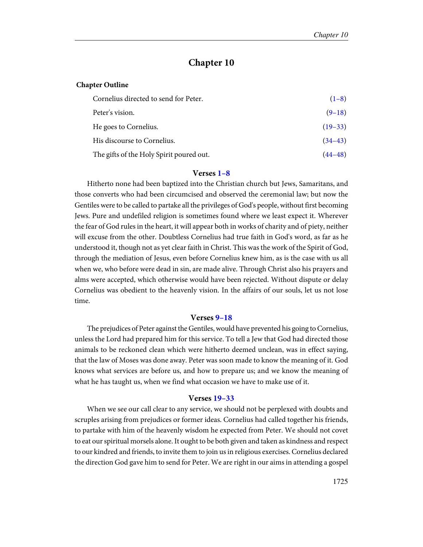#### **Chapter Outline**

| Cornelius directed to send for Peter.    | $(1-8)$   |
|------------------------------------------|-----------|
| Peter's vision.                          | $(9-18)$  |
| He goes to Cornelius.                    | $(19-33)$ |
| His discourse to Cornelius.              | $(34-43)$ |
| The gifts of the Holy Spirit poured out. | $(44-48)$ |

## **Verses [1–8](http://www.ccel.org/study/Bible:Acts.10.1-Acts.10.8)**

Hitherto none had been baptized into the Christian church but Jews, Samaritans, and those converts who had been circumcised and observed the ceremonial law; but now the Gentiles were to be called to partake all the privileges of God's people, without first becoming Jews. Pure and undefiled religion is sometimes found where we least expect it. Wherever the fear of God rules in the heart, it will appear both in works of charity and of piety, neither will excuse from the other. Doubtless Cornelius had true faith in God's word, as far as he understood it, though not as yet clear faith in Christ. This was the work of the Spirit of God, through the mediation of Jesus, even before Cornelius knew him, as is the case with us all when we, who before were dead in sin, are made alive. Through Christ also his prayers and alms were accepted, which otherwise would have been rejected. Without dispute or delay Cornelius was obedient to the heavenly vision. In the affairs of our souls, let us not lose time.

### **Verses [9–18](http://www.ccel.org/study/Bible:Acts.10.9-Acts.10.18)**

The prejudices of Peter against the Gentiles, would have prevented his going to Cornelius, unless the Lord had prepared him for this service. To tell a Jew that God had directed those animals to be reckoned clean which were hitherto deemed unclean, was in effect saying, that the law of Moses was done away. Peter was soon made to know the meaning of it. God knows what services are before us, and how to prepare us; and we know the meaning of what he has taught us, when we find what occasion we have to make use of it.

# **Verses [19–33](http://www.ccel.org/study/Bible:Acts.10.19-Acts.10.33)**

When we see our call clear to any service, we should not be perplexed with doubts and scruples arising from prejudices or former ideas. Cornelius had called together his friends, to partake with him of the heavenly wisdom he expected from Peter. We should not covet to eat our spiritual morsels alone. It ought to be both given and taken as kindness and respect to our kindred and friends, to invite them to join us in religious exercises. Cornelius declared the direction God gave him to send for Peter. We are right in our aims in attending a gospel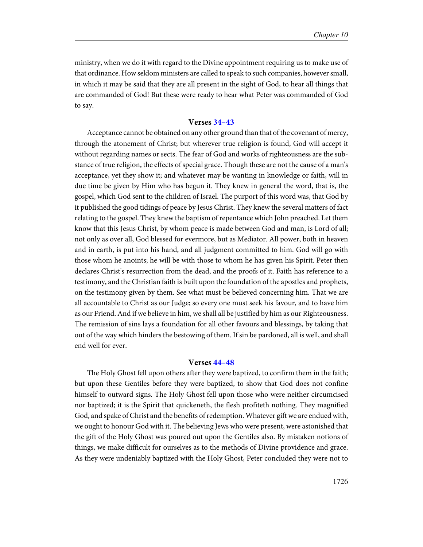ministry, when we do it with regard to the Divine appointment requiring us to make use of that ordinance. How seldom ministers are called to speak to such companies, however small, in which it may be said that they are all present in the sight of God, to hear all things that are commanded of God! But these were ready to hear what Peter was commanded of God to say.

# **Verses [34–43](http://www.ccel.org/study/Bible:Acts.10.34-Acts.10.43)**

Acceptance cannot be obtained on any other ground than that of the covenant of mercy, through the atonement of Christ; but wherever true religion is found, God will accept it without regarding names or sects. The fear of God and works of righteousness are the substance of true religion, the effects of special grace. Though these are not the cause of a man's acceptance, yet they show it; and whatever may be wanting in knowledge or faith, will in due time be given by Him who has begun it. They knew in general the word, that is, the gospel, which God sent to the children of Israel. The purport of this word was, that God by it published the good tidings of peace by Jesus Christ. They knew the several matters of fact relating to the gospel. They knew the baptism of repentance which John preached. Let them know that this Jesus Christ, by whom peace is made between God and man, is Lord of all; not only as over all, God blessed for evermore, but as Mediator. All power, both in heaven and in earth, is put into his hand, and all judgment committed to him. God will go with those whom he anoints; he will be with those to whom he has given his Spirit. Peter then declares Christ's resurrection from the dead, and the proofs of it. Faith has reference to a testimony, and the Christian faith is built upon the foundation of the apostles and prophets, on the testimony given by them. See what must be believed concerning him. That we are all accountable to Christ as our Judge; so every one must seek his favour, and to have him as our Friend. And if we believe in him, we shall all be justified by him as our Righteousness. The remission of sins lays a foundation for all other favours and blessings, by taking that out of the way which hinders the bestowing of them. If sin be pardoned, all is well, and shall end well for ever.

#### **Verses [44–48](http://www.ccel.org/study/Bible:Acts.10.44-Acts.10.48)**

The Holy Ghost fell upon others after they were baptized, to confirm them in the faith; but upon these Gentiles before they were baptized, to show that God does not confine himself to outward signs. The Holy Ghost fell upon those who were neither circumcised nor baptized; it is the Spirit that quickeneth, the flesh profiteth nothing. They magnified God, and spake of Christ and the benefits of redemption. Whatever gift we are endued with, we ought to honour God with it. The believing Jews who were present, were astonished that the gift of the Holy Ghost was poured out upon the Gentiles also. By mistaken notions of things, we make difficult for ourselves as to the methods of Divine providence and grace. As they were undeniably baptized with the Holy Ghost, Peter concluded they were not to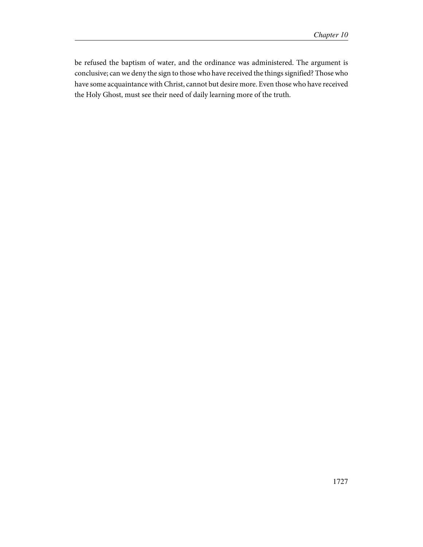be refused the baptism of water, and the ordinance was administered. The argument is conclusive; can we deny the sign to those who have received the things signified? Those who have some acquaintance with Christ, cannot but desire more. Even those who have received the Holy Ghost, must see their need of daily learning more of the truth.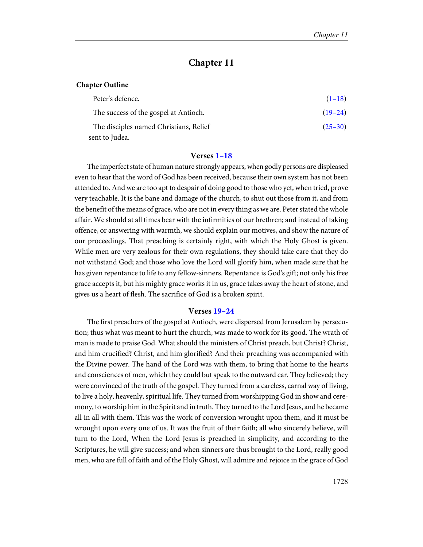#### **Chapter Outline**

| Peter's defence.                       | $(1-18)$  |
|----------------------------------------|-----------|
| The success of the gospel at Antioch.  | $(19-24)$ |
| The disciples named Christians, Relief | $(25-30)$ |
| sent to Judea.                         |           |

## **Verses [1–18](http://www.ccel.org/study/Bible:Acts.11.1-Acts.11.18)**

The imperfect state of human nature strongly appears, when godly persons are displeased even to hear that the word of God has been received, because their own system has not been attended to. And we are too apt to despair of doing good to those who yet, when tried, prove very teachable. It is the bane and damage of the church, to shut out those from it, and from the benefit of the means of grace, who are not in every thing as we are. Peter stated the whole affair. We should at all times bear with the infirmities of our brethren; and instead of taking offence, or answering with warmth, we should explain our motives, and show the nature of our proceedings. That preaching is certainly right, with which the Holy Ghost is given. While men are very zealous for their own regulations, they should take care that they do not withstand God; and those who love the Lord will glorify him, when made sure that he has given repentance to life to any fellow-sinners. Repentance is God's gift; not only his free grace accepts it, but his mighty grace works it in us, grace takes away the heart of stone, and gives us a heart of flesh. The sacrifice of God is a broken spirit.

## **Verses [19–24](http://www.ccel.org/study/Bible:Acts.11.19-Acts.11.24)**

The first preachers of the gospel at Antioch, were dispersed from Jerusalem by persecution; thus what was meant to hurt the church, was made to work for its good. The wrath of man is made to praise God. What should the ministers of Christ preach, but Christ? Christ, and him crucified? Christ, and him glorified? And their preaching was accompanied with the Divine power. The hand of the Lord was with them, to bring that home to the hearts and consciences of men, which they could but speak to the outward ear. They believed; they were convinced of the truth of the gospel. They turned from a careless, carnal way of living, to live a holy, heavenly, spiritual life. They turned from worshipping God in show and ceremony, to worship him in the Spirit and in truth. They turned to the Lord Jesus, and he became all in all with them. This was the work of conversion wrought upon them, and it must be wrought upon every one of us. It was the fruit of their faith; all who sincerely believe, will turn to the Lord, When the Lord Jesus is preached in simplicity, and according to the Scriptures, he will give success; and when sinners are thus brought to the Lord, really good men, who are full of faith and of the Holy Ghost, will admire and rejoice in the grace of God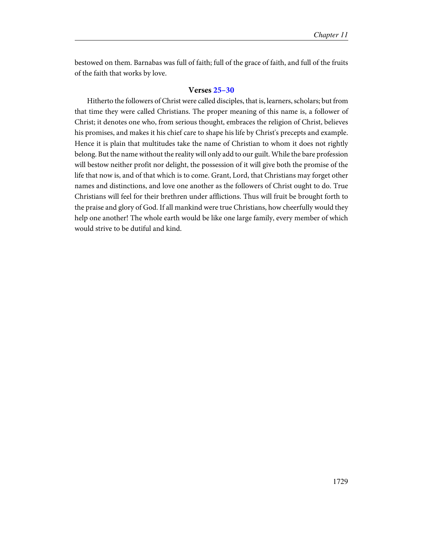bestowed on them. Barnabas was full of faith; full of the grace of faith, and full of the fruits of the faith that works by love.

# **Verses [25–30](http://www.ccel.org/study/Bible:Acts.11.25-Acts.11.30)**

Hitherto the followers of Christ were called disciples, that is, learners, scholars; but from that time they were called Christians. The proper meaning of this name is, a follower of Christ; it denotes one who, from serious thought, embraces the religion of Christ, believes his promises, and makes it his chief care to shape his life by Christ's precepts and example. Hence it is plain that multitudes take the name of Christian to whom it does not rightly belong. But the name without the reality will only add to our guilt. While the bare profession will bestow neither profit nor delight, the possession of it will give both the promise of the life that now is, and of that which is to come. Grant, Lord, that Christians may forget other names and distinctions, and love one another as the followers of Christ ought to do. True Christians will feel for their brethren under afflictions. Thus will fruit be brought forth to the praise and glory of God. If all mankind were true Christians, how cheerfully would they help one another! The whole earth would be like one large family, every member of which would strive to be dutiful and kind.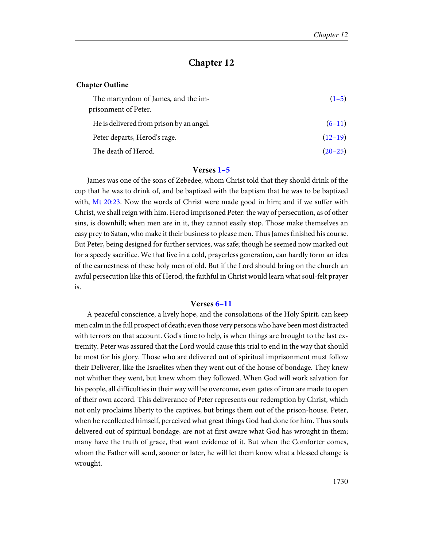#### **Chapter Outline**

| The martyrdom of James, and the im-      | $(1-5)$   |
|------------------------------------------|-----------|
| prisonment of Peter.                     |           |
| He is delivered from prison by an angel. | $(6-11)$  |
| Peter departs, Herod's rage.             | $(12-19)$ |
| The death of Herod.                      | $(20-25)$ |

### **Verses [1–5](http://www.ccel.org/study/Bible:Acts.12.1-Acts.12.5)**

James was one of the sons of Zebedee, whom Christ told that they should drink of the cup that he was to drink of, and be baptized with the baptism that he was to be baptized with, [Mt 20:23.](http://www.ccel.org/study/Bible:Matt.20.23) Now the words of Christ were made good in him; and if we suffer with Christ, we shall reign with him. Herod imprisoned Peter: the way of persecution, as of other sins, is downhill; when men are in it, they cannot easily stop. Those make themselves an easy prey to Satan, who make it their business to please men. Thus James finished his course. But Peter, being designed for further services, was safe; though he seemed now marked out for a speedy sacrifice. We that live in a cold, prayerless generation, can hardly form an idea of the earnestness of these holy men of old. But if the Lord should bring on the church an awful persecution like this of Herod, the faithful in Christ would learn what soul-felt prayer is.

## **Verses [6–11](http://www.ccel.org/study/Bible:Acts.12.6-Acts.12.11)**

A peaceful conscience, a lively hope, and the consolations of the Holy Spirit, can keep men calm in the full prospect of death; even those very persons who have been most distracted with terrors on that account. God's time to help, is when things are brought to the last extremity. Peter was assured that the Lord would cause this trial to end in the way that should be most for his glory. Those who are delivered out of spiritual imprisonment must follow their Deliverer, like the Israelites when they went out of the house of bondage. They knew not whither they went, but knew whom they followed. When God will work salvation for his people, all difficulties in their way will be overcome, even gates of iron are made to open of their own accord. This deliverance of Peter represents our redemption by Christ, which not only proclaims liberty to the captives, but brings them out of the prison-house. Peter, when he recollected himself, perceived what great things God had done for him. Thus souls delivered out of spiritual bondage, are not at first aware what God has wrought in them; many have the truth of grace, that want evidence of it. But when the Comforter comes, whom the Father will send, sooner or later, he will let them know what a blessed change is wrought.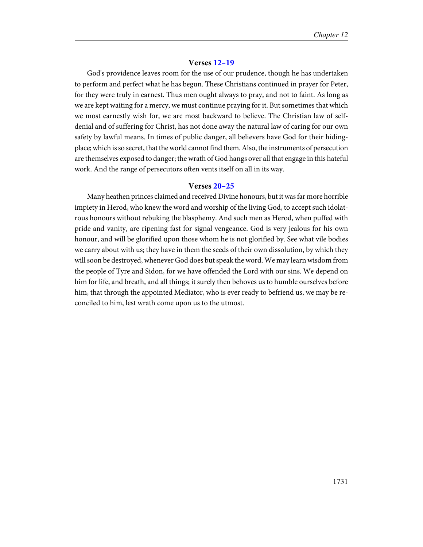## **Verses [12–19](http://www.ccel.org/study/Bible:Acts.12.12-Acts.12.19)**

God's providence leaves room for the use of our prudence, though he has undertaken to perform and perfect what he has begun. These Christians continued in prayer for Peter, for they were truly in earnest. Thus men ought always to pray, and not to faint. As long as we are kept waiting for a mercy, we must continue praying for it. But sometimes that which we most earnestly wish for, we are most backward to believe. The Christian law of selfdenial and of suffering for Christ, has not done away the natural law of caring for our own safety by lawful means. In times of public danger, all believers have God for their hidingplace; which is so secret, that the world cannot find them. Also, the instruments of persecution are themselves exposed to danger; the wrath of God hangs over all that engage in this hateful work. And the range of persecutors often vents itself on all in its way.

### **Verses [20–25](http://www.ccel.org/study/Bible:Acts.12.20-Acts.12.25)**

Many heathen princes claimed and received Divine honours, but it was far more horrible impiety in Herod, who knew the word and worship of the living God, to accept such idolatrous honours without rebuking the blasphemy. And such men as Herod, when puffed with pride and vanity, are ripening fast for signal vengeance. God is very jealous for his own honour, and will be glorified upon those whom he is not glorified by. See what vile bodies we carry about with us; they have in them the seeds of their own dissolution, by which they will soon be destroyed, whenever God does but speak the word. We may learn wisdom from the people of Tyre and Sidon, for we have offended the Lord with our sins. We depend on him for life, and breath, and all things; it surely then behoves us to humble ourselves before him, that through the appointed Mediator, who is ever ready to befriend us, we may be reconciled to him, lest wrath come upon us to the utmost.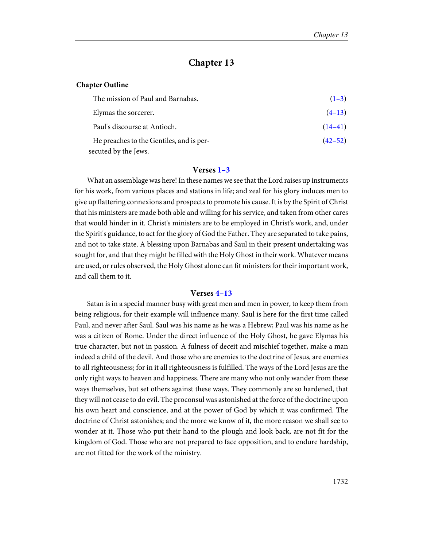### **Chapter Outline**

| The mission of Paul and Barnabas.        | $(1-3)$     |
|------------------------------------------|-------------|
| Elymas the sorcerer.                     | $(4-13)$    |
| Paul's discourse at Antioch.             | $(14-41)$   |
| He preaches to the Gentiles, and is per- | $(42 - 52)$ |
| secuted by the Jews.                     |             |

### **Verses [1–3](http://www.ccel.org/study/Bible:Acts.13.1-Acts.13.3)**

What an assemblage was here! In these names we see that the Lord raises up instruments for his work, from various places and stations in life; and zeal for his glory induces men to give up flattering connexions and prospects to promote his cause. It is by the Spirit of Christ that his ministers are made both able and willing for his service, and taken from other cares that would hinder in it. Christ's ministers are to be employed in Christ's work, and, under the Spirit's guidance, to act for the glory of God the Father. They are separated to take pains, and not to take state. A blessing upon Barnabas and Saul in their present undertaking was sought for, and that they might be filled with the Holy Ghost in their work. Whatever means are used, or rules observed, the Holy Ghost alone can fit ministers for their important work, and call them to it.

## **Verses [4–13](http://www.ccel.org/study/Bible:Acts.13.4-Acts.13.13)**

Satan is in a special manner busy with great men and men in power, to keep them from being religious, for their example will influence many. Saul is here for the first time called Paul, and never after Saul. Saul was his name as he was a Hebrew; Paul was his name as he was a citizen of Rome. Under the direct influence of the Holy Ghost, he gave Elymas his true character, but not in passion. A fulness of deceit and mischief together, make a man indeed a child of the devil. And those who are enemies to the doctrine of Jesus, are enemies to all righteousness; for in it all righteousness is fulfilled. The ways of the Lord Jesus are the only right ways to heaven and happiness. There are many who not only wander from these ways themselves, but set others against these ways. They commonly are so hardened, that they will not cease to do evil. The proconsul was astonished at the force of the doctrine upon his own heart and conscience, and at the power of God by which it was confirmed. The doctrine of Christ astonishes; and the more we know of it, the more reason we shall see to wonder at it. Those who put their hand to the plough and look back, are not fit for the kingdom of God. Those who are not prepared to face opposition, and to endure hardship, are not fitted for the work of the ministry.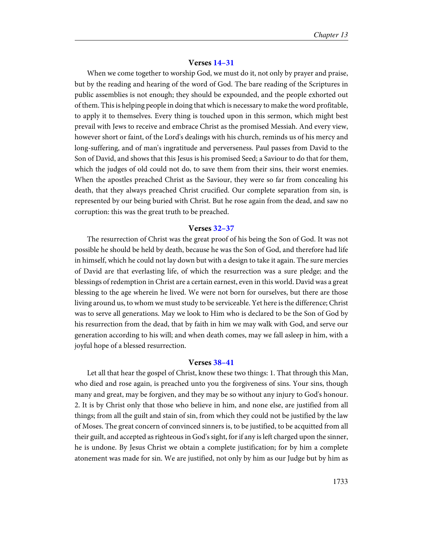## **Verses [14–31](http://www.ccel.org/study/Bible:Acts.13.14-Acts.13.31)**

When we come together to worship God, we must do it, not only by prayer and praise, but by the reading and hearing of the word of God. The bare reading of the Scriptures in public assemblies is not enough; they should be expounded, and the people exhorted out of them. This is helping people in doing that which is necessary to make the word profitable, to apply it to themselves. Every thing is touched upon in this sermon, which might best prevail with Jews to receive and embrace Christ as the promised Messiah. And every view, however short or faint, of the Lord's dealings with his church, reminds us of his mercy and long-suffering, and of man's ingratitude and perverseness. Paul passes from David to the Son of David, and shows that this Jesus is his promised Seed; a Saviour to do that for them, which the judges of old could not do, to save them from their sins, their worst enemies. When the apostles preached Christ as the Saviour, they were so far from concealing his death, that they always preached Christ crucified. Our complete separation from sin, is represented by our being buried with Christ. But he rose again from the dead, and saw no corruption: this was the great truth to be preached.

### **Verses [32–37](http://www.ccel.org/study/Bible:Acts.13.32-Acts.13.37)**

The resurrection of Christ was the great proof of his being the Son of God. It was not possible he should be held by death, because he was the Son of God, and therefore had life in himself, which he could not lay down but with a design to take it again. The sure mercies of David are that everlasting life, of which the resurrection was a sure pledge; and the blessings of redemption in Christ are a certain earnest, even in this world. David was a great blessing to the age wherein he lived. We were not born for ourselves, but there are those living around us, to whom we must study to be serviceable. Yet here is the difference; Christ was to serve all generations. May we look to Him who is declared to be the Son of God by his resurrection from the dead, that by faith in him we may walk with God, and serve our generation according to his will; and when death comes, may we fall asleep in him, with a joyful hope of a blessed resurrection.

#### **Verses [38–41](http://www.ccel.org/study/Bible:Acts.13.38-Acts.13.41)**

Let all that hear the gospel of Christ, know these two things: 1. That through this Man, who died and rose again, is preached unto you the forgiveness of sins. Your sins, though many and great, may be forgiven, and they may be so without any injury to God's honour. 2. It is by Christ only that those who believe in him, and none else, are justified from all things; from all the guilt and stain of sin, from which they could not be justified by the law of Moses. The great concern of convinced sinners is, to be justified, to be acquitted from all their guilt, and accepted as righteous in God's sight, for if any is left charged upon the sinner, he is undone. By Jesus Christ we obtain a complete justification; for by him a complete atonement was made for sin. We are justified, not only by him as our Judge but by him as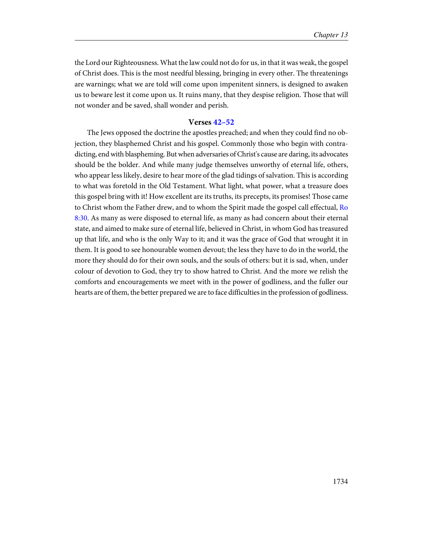the Lord our Righteousness. What the law could not do for us, in that it was weak, the gospel of Christ does. This is the most needful blessing, bringing in every other. The threatenings are warnings; what we are told will come upon impenitent sinners, is designed to awaken us to beware lest it come upon us. It ruins many, that they despise religion. Those that will not wonder and be saved, shall wonder and perish.

# **Verses [42–52](http://www.ccel.org/study/Bible:Acts.13.42-Acts.13.52)**

The Jews opposed the doctrine the apostles preached; and when they could find no objection, they blasphemed Christ and his gospel. Commonly those who begin with contradicting, end with blaspheming. But when adversaries of Christ's cause are daring, its advocates should be the bolder. And while many judge themselves unworthy of eternal life, others, who appear less likely, desire to hear more of the glad tidings of salvation. This is according to what was foretold in the Old Testament. What light, what power, what a treasure does this gospel bring with it! How excellent are its truths, its precepts, its promises! Those came to Christ whom the Father drew, and to whom the Spirit made the gospel call effectual, [Ro](http://www.ccel.org/study/Bible:Rom.8.30) [8:30](http://www.ccel.org/study/Bible:Rom.8.30). As many as were disposed to eternal life, as many as had concern about their eternal state, and aimed to make sure of eternal life, believed in Christ, in whom God has treasured up that life, and who is the only Way to it; and it was the grace of God that wrought it in them. It is good to see honourable women devout; the less they have to do in the world, the more they should do for their own souls, and the souls of others: but it is sad, when, under colour of devotion to God, they try to show hatred to Christ. And the more we relish the comforts and encouragements we meet with in the power of godliness, and the fuller our hearts are of them, the better prepared we are to face difficulties in the profession of godliness.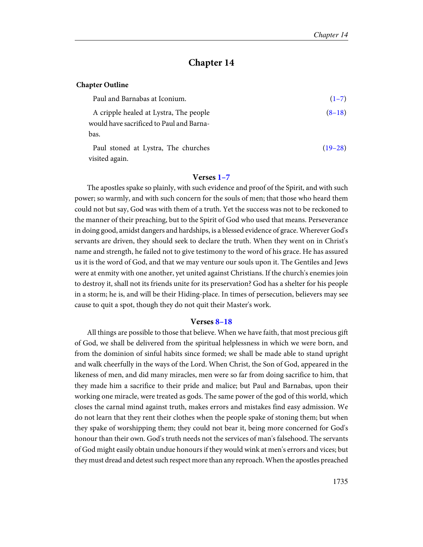#### **Chapter Outline**

| Paul and Barnabas at Iconium.                                                              | $(1-7)$   |
|--------------------------------------------------------------------------------------------|-----------|
| A cripple healed at Lystra, The people<br>would have sacrificed to Paul and Barna-<br>bas. | $(8-18)$  |
| Paul stoned at Lystra, The churches                                                        | $(19-28)$ |
| visited again.                                                                             |           |

### **Verses [1–7](http://www.ccel.org/study/Bible:Acts.14.1-Acts.14.7)**

The apostles spake so plainly, with such evidence and proof of the Spirit, and with such power; so warmly, and with such concern for the souls of men; that those who heard them could not but say, God was with them of a truth. Yet the success was not to be reckoned to the manner of their preaching, but to the Spirit of God who used that means. Perseverance in doing good, amidst dangers and hardships, is a blessed evidence of grace. Wherever God's servants are driven, they should seek to declare the truth. When they went on in Christ's name and strength, he failed not to give testimony to the word of his grace. He has assured us it is the word of God, and that we may venture our souls upon it. The Gentiles and Jews were at enmity with one another, yet united against Christians. If the church's enemies join to destroy it, shall not its friends unite for its preservation? God has a shelter for his people in a storm; he is, and will be their Hiding-place. In times of persecution, believers may see cause to quit a spot, though they do not quit their Master's work.

#### **Verses [8–18](http://www.ccel.org/study/Bible:Acts.14.8-Acts.14.18)**

All things are possible to those that believe. When we have faith, that most precious gift of God, we shall be delivered from the spiritual helplessness in which we were born, and from the dominion of sinful habits since formed; we shall be made able to stand upright and walk cheerfully in the ways of the Lord. When Christ, the Son of God, appeared in the likeness of men, and did many miracles, men were so far from doing sacrifice to him, that they made him a sacrifice to their pride and malice; but Paul and Barnabas, upon their working one miracle, were treated as gods. The same power of the god of this world, which closes the carnal mind against truth, makes errors and mistakes find easy admission. We do not learn that they rent their clothes when the people spake of stoning them; but when they spake of worshipping them; they could not bear it, being more concerned for God's honour than their own. God's truth needs not the services of man's falsehood. The servants of God might easily obtain undue honours if they would wink at men's errors and vices; but they must dread and detest such respect more than any reproach. When the apostles preached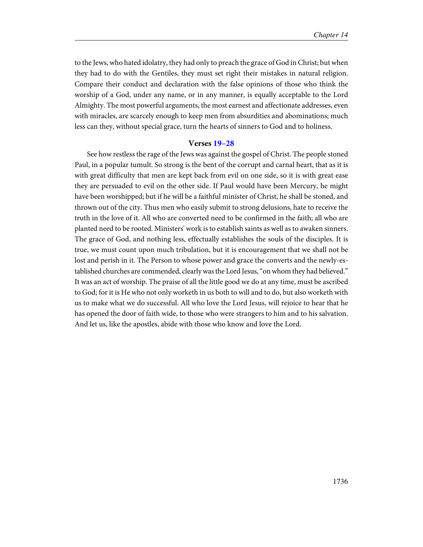to the Jews, who hated idolatry, they had only to preach the grace of God in Christ; but when they had to do with the Gentiles, they must set right their mistakes in natural religion. Compare their conduct and declaration with the false opinions of those who think the worship of a God, under any name, or in any manner, is equally acceptable to the Lord Almighty. The most powerful arguments, the most earnest and affectionate addresses, even with miracles, are scarcely enough to keep men from absurdities and abominations; much less can they, without special grace, turn the hearts of sinners to God and to holiness.

### **Verses [19–28](http://www.ccel.org/study/Bible:Acts.14.19-Acts.14.28)**

See how restless the rage of the Jews was against the gospel of Christ. The people stoned Paul, in a popular tumult. So strong is the bent of the corrupt and carnal heart, that as it is with great difficulty that men are kept back from evil on one side, so it is with great ease they are persuaded to evil on the other side. If Paul would have been Mercury, he might have been worshipped; but if he will be a faithful minister of Christ, he shall be stoned, and thrown out of the city. Thus men who easily submit to strong delusions, hate to receive the truth in the love of it. All who are converted need to be confirmed in the faith; all who are planted need to be rooted. Ministers' work is to establish saints as well as to awaken sinners. The grace of God, and nothing less, effectually establishes the souls of the disciples. It is true, we must count upon much tribulation, but it is encouragement that we shall not be lost and perish in it. The Person to whose power and grace the converts and the newly-established churches are commended, clearly was the Lord Jesus, "on whom they had believed." It was an act of worship. The praise of all the little good we do at any time, must be ascribed to God; for it is He who not only worketh in us both to will and to do, but also worketh with us to make what we do successful. All who love the Lord Jesus, will rejoice to hear that he has opened the door of faith wide, to those who were strangers to him and to his salvation. And let us, like the apostles, abide with those who know and love the Lord.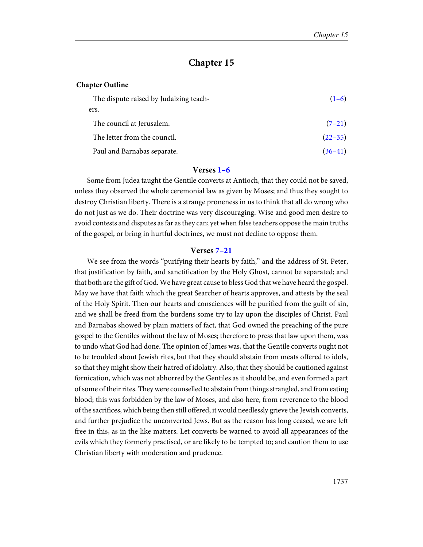#### **Chapter Outline**

| The dispute raised by Judaizing teach- | $(1-6)$     |
|----------------------------------------|-------------|
| ers.                                   |             |
| The council at Jerusalem.              | $(7-21)$    |
| The letter from the council.           | $(22 - 35)$ |
| Paul and Barnabas separate.            | $(36-41)$   |

### **Verses [1–6](http://www.ccel.org/study/Bible:Acts.15.1-Acts.15.6)**

Some from Judea taught the Gentile converts at Antioch, that they could not be saved, unless they observed the whole ceremonial law as given by Moses; and thus they sought to destroy Christian liberty. There is a strange proneness in us to think that all do wrong who do not just as we do. Their doctrine was very discouraging. Wise and good men desire to avoid contests and disputes as far as they can; yet when false teachers oppose the main truths of the gospel, or bring in hurtful doctrines, we must not decline to oppose them.

## **Verses [7–21](http://www.ccel.org/study/Bible:Acts.15.7-Acts.15.21)**

We see from the words "purifying their hearts by faith," and the address of St. Peter, that justification by faith, and sanctification by the Holy Ghost, cannot be separated; and that both are the gift of God. We have great cause to bless God that we have heard the gospel. May we have that faith which the great Searcher of hearts approves, and attests by the seal of the Holy Spirit. Then our hearts and consciences will be purified from the guilt of sin, and we shall be freed from the burdens some try to lay upon the disciples of Christ. Paul and Barnabas showed by plain matters of fact, that God owned the preaching of the pure gospel to the Gentiles without the law of Moses; therefore to press that law upon them, was to undo what God had done. The opinion of James was, that the Gentile converts ought not to be troubled about Jewish rites, but that they should abstain from meats offered to idols, so that they might show their hatred of idolatry. Also, that they should be cautioned against fornication, which was not abhorred by the Gentiles as it should be, and even formed a part of some of their rites. They were counselled to abstain from things strangled, and from eating blood; this was forbidden by the law of Moses, and also here, from reverence to the blood of the sacrifices, which being then still offered, it would needlessly grieve the Jewish converts, and further prejudice the unconverted Jews. But as the reason has long ceased, we are left free in this, as in the like matters. Let converts be warned to avoid all appearances of the evils which they formerly practised, or are likely to be tempted to; and caution them to use Christian liberty with moderation and prudence.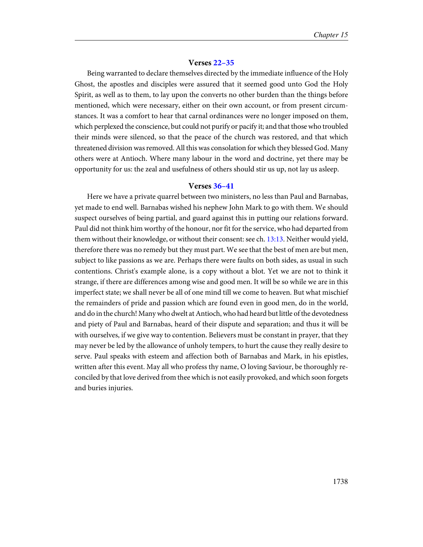## **Verses [22–35](http://www.ccel.org/study/Bible:Acts.15.22-Acts.15.35)**

Being warranted to declare themselves directed by the immediate influence of the Holy Ghost, the apostles and disciples were assured that it seemed good unto God the Holy Spirit, as well as to them, to lay upon the converts no other burden than the things before mentioned, which were necessary, either on their own account, or from present circumstances. It was a comfort to hear that carnal ordinances were no longer imposed on them, which perplexed the conscience, but could not purify or pacify it; and that those who troubled their minds were silenced, so that the peace of the church was restored, and that which threatened division was removed. All this was consolation for which they blessed God. Many others were at Antioch. Where many labour in the word and doctrine, yet there may be opportunity for us: the zeal and usefulness of others should stir us up, not lay us asleep.

## **Verses [36–41](http://www.ccel.org/study/Bible:Acts.15.36-Acts.15.41)**

Here we have a private quarrel between two ministers, no less than Paul and Barnabas, yet made to end well. Barnabas wished his nephew John Mark to go with them. We should suspect ourselves of being partial, and guard against this in putting our relations forward. Paul did not think him worthy of the honour, nor fit for the service, who had departed from them without their knowledge, or without their consent: see ch. [13:13.](http://www.ccel.org/study/Bible:Acts.13.13) Neither would yield, therefore there was no remedy but they must part. We see that the best of men are but men, subject to like passions as we are. Perhaps there were faults on both sides, as usual in such contentions. Christ's example alone, is a copy without a blot. Yet we are not to think it strange, if there are differences among wise and good men. It will be so while we are in this imperfect state; we shall never be all of one mind till we come to heaven. But what mischief the remainders of pride and passion which are found even in good men, do in the world, and do in the church! Many who dwelt at Antioch, who had heard but little of the devotedness and piety of Paul and Barnabas, heard of their dispute and separation; and thus it will be with ourselves, if we give way to contention. Believers must be constant in prayer, that they may never be led by the allowance of unholy tempers, to hurt the cause they really desire to serve. Paul speaks with esteem and affection both of Barnabas and Mark, in his epistles, written after this event. May all who profess thy name, O loving Saviour, be thoroughly reconciled by that love derived from thee which is not easily provoked, and which soon forgets and buries injuries.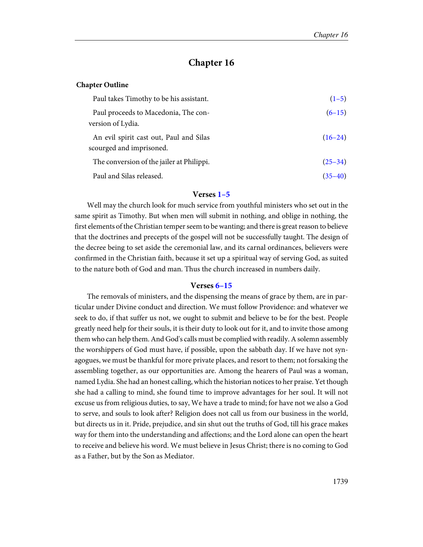### **Chapter Outline**

| Paul takes Timothy to be his assistant.                             | $(1-5)$     |
|---------------------------------------------------------------------|-------------|
| Paul proceeds to Macedonia, The con-<br>version of Lydia.           | $(6-15)$    |
| An evil spirit cast out, Paul and Silas<br>scourged and imprisoned. | $(16-24)$   |
| The conversion of the jailer at Philippi.                           | $(25 - 34)$ |
| Paul and Silas released.                                            | $(35 - 40)$ |

# **Verses [1–5](http://www.ccel.org/study/Bible:Acts.16.1-Acts.16.5)**

Well may the church look for much service from youthful ministers who set out in the same spirit as Timothy. But when men will submit in nothing, and oblige in nothing, the first elements of the Christian temper seem to be wanting; and there is great reason to believe that the doctrines and precepts of the gospel will not be successfully taught. The design of the decree being to set aside the ceremonial law, and its carnal ordinances, believers were confirmed in the Christian faith, because it set up a spiritual way of serving God, as suited to the nature both of God and man. Thus the church increased in numbers daily.

# **Verses [6–15](http://www.ccel.org/study/Bible:Acts.16.6-Acts.16.15)**

The removals of ministers, and the dispensing the means of grace by them, are in particular under Divine conduct and direction. We must follow Providence: and whatever we seek to do, if that suffer us not, we ought to submit and believe to be for the best. People greatly need help for their souls, it is their duty to look out for it, and to invite those among them who can help them. And God's calls must be complied with readily. A solemn assembly the worshippers of God must have, if possible, upon the sabbath day. If we have not synagogues, we must be thankful for more private places, and resort to them; not forsaking the assembling together, as our opportunities are. Among the hearers of Paul was a woman, named Lydia. She had an honest calling, which the historian notices to her praise. Yet though she had a calling to mind, she found time to improve advantages for her soul. It will not excuse us from religious duties, to say, We have a trade to mind; for have not we also a God to serve, and souls to look after? Religion does not call us from our business in the world, but directs us in it. Pride, prejudice, and sin shut out the truths of God, till his grace makes way for them into the understanding and affections; and the Lord alone can open the heart to receive and believe his word. We must believe in Jesus Christ; there is no coming to God as a Father, but by the Son as Mediator.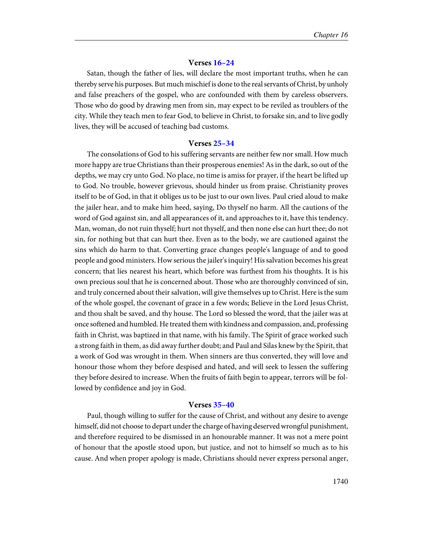## **Verses [16–24](http://www.ccel.org/study/Bible:Acts.16.16-Acts.16.24)**

Satan, though the father of lies, will declare the most important truths, when he can thereby serve his purposes. But much mischief is done to the real servants of Christ, by unholy and false preachers of the gospel, who are confounded with them by careless observers. Those who do good by drawing men from sin, may expect to be reviled as troublers of the city. While they teach men to fear God, to believe in Christ, to forsake sin, and to live godly lives, they will be accused of teaching bad customs.

### **Verses [25–34](http://www.ccel.org/study/Bible:Acts.16.25-Acts.16.34)**

The consolations of God to his suffering servants are neither few nor small. How much more happy are true Christians than their prosperous enemies! As in the dark, so out of the depths, we may cry unto God. No place, no time is amiss for prayer, if the heart be lifted up to God. No trouble, however grievous, should hinder us from praise. Christianity proves itself to be of God, in that it obliges us to be just to our own lives. Paul cried aloud to make the jailer hear, and to make him heed, saying, Do thyself no harm. All the cautions of the word of God against sin, and all appearances of it, and approaches to it, have this tendency. Man, woman, do not ruin thyself; hurt not thyself, and then none else can hurt thee; do not sin, for nothing but that can hurt thee. Even as to the body, we are cautioned against the sins which do harm to that. Converting grace changes people's language of and to good people and good ministers. How serious the jailer's inquiry! His salvation becomes his great concern; that lies nearest his heart, which before was furthest from his thoughts. It is his own precious soul that he is concerned about. Those who are thoroughly convinced of sin, and truly concerned about their salvation, will give themselves up to Christ. Here is the sum of the whole gospel, the covenant of grace in a few words; Believe in the Lord Jesus Christ, and thou shalt be saved, and thy house. The Lord so blessed the word, that the jailer was at once softened and humbled. He treated them with kindness and compassion, and, professing faith in Christ, was baptized in that name, with his family. The Spirit of grace worked such a strong faith in them, as did away further doubt; and Paul and Silas knew by the Spirit, that a work of God was wrought in them. When sinners are thus converted, they will love and honour those whom they before despised and hated, and will seek to lessen the suffering they before desired to increase. When the fruits of faith begin to appear, terrors will be followed by confidence and joy in God.

## **Verses [35–40](http://www.ccel.org/study/Bible:Acts.16.35-Acts.16.40)**

Paul, though willing to suffer for the cause of Christ, and without any desire to avenge himself, did not choose to depart under the charge of having deserved wrongful punishment, and therefore required to be dismissed in an honourable manner. It was not a mere point of honour that the apostle stood upon, but justice, and not to himself so much as to his cause. And when proper apology is made, Christians should never express personal anger,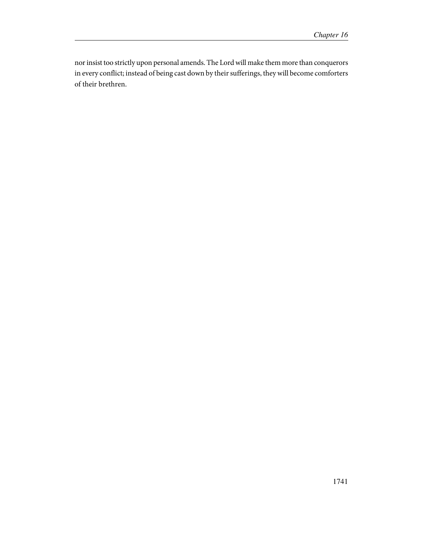nor insist too strictly upon personal amends. The Lord will make them more than conquerors in every conflict; instead of being cast down by their sufferings, they will become comforters of their brethren.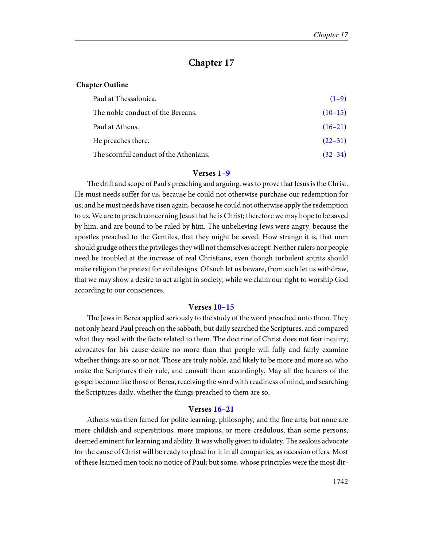#### **Chapter Outline**

| Paul at Thessalonica.                  | $(1-9)$     |
|----------------------------------------|-------------|
| The noble conduct of the Bereans.      | $(10-15)$   |
| Paul at Athens.                        | $(16-21)$   |
| He preaches there.                     | $(22 - 31)$ |
| The scornful conduct of the Athenians. | $(32 - 34)$ |

## **Verses [1–9](http://www.ccel.org/study/Bible:Acts.17.1-Acts.17.9)**

The drift and scope of Paul's preaching and arguing, was to prove that Jesus is the Christ. He must needs suffer for us, because he could not otherwise purchase our redemption for us; and he must needs have risen again, because he could not otherwise apply the redemption to us. We are to preach concerning Jesus that he is Christ; therefore we may hope to be saved by him, and are bound to be ruled by him. The unbelieving Jews were angry, because the apostles preached to the Gentiles, that they might be saved. How strange it is, that men should grudge others the privileges they will not themselves accept! Neither rulers nor people need be troubled at the increase of real Christians, even though turbulent spirits should make religion the pretext for evil designs. Of such let us beware, from such let us withdraw, that we may show a desire to act aright in society, while we claim our right to worship God according to our consciences.

# **Verses [10–15](http://www.ccel.org/study/Bible:Acts.17.10-Acts.17.15)**

The Jews in Berea applied seriously to the study of the word preached unto them. They not only heard Paul preach on the sabbath, but daily searched the Scriptures, and compared what they read with the facts related to them. The doctrine of Christ does not fear inquiry; advocates for his cause desire no more than that people will fully and fairly examine whether things are so or not. Those are truly noble, and likely to be more and more so, who make the Scriptures their rule, and consult them accordingly. May all the hearers of the gospel become like those of Berea, receiving the word with readiness of mind, and searching the Scriptures daily, whether the things preached to them are so.

### **Verses [16–21](http://www.ccel.org/study/Bible:Acts.17.16-Acts.17.21)**

Athens was then famed for polite learning, philosophy, and the fine arts; but none are more childish and superstitious, more impious, or more credulous, than some persons, deemed eminent for learning and ability. It was wholly given to idolatry. The zealous advocate for the cause of Christ will be ready to plead for it in all companies, as occasion offers. Most of these learned men took no notice of Paul; but some, whose principles were the most dir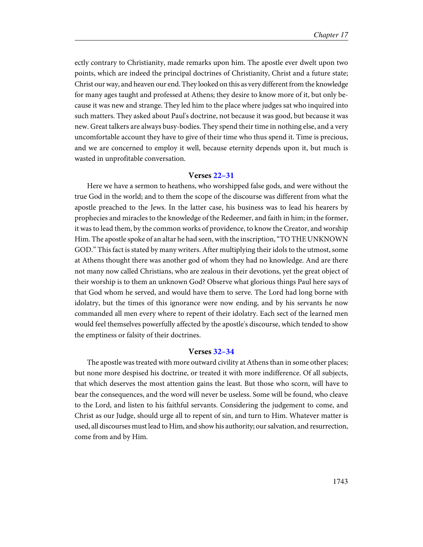ectly contrary to Christianity, made remarks upon him. The apostle ever dwelt upon two points, which are indeed the principal doctrines of Christianity, Christ and a future state; Christ our way, and heaven our end. They looked on this as very different from the knowledge for many ages taught and professed at Athens; they desire to know more of it, but only because it was new and strange. They led him to the place where judges sat who inquired into such matters. They asked about Paul's doctrine, not because it was good, but because it was new. Great talkers are always busy-bodies. They spend their time in nothing else, and a very uncomfortable account they have to give of their time who thus spend it. Time is precious, and we are concerned to employ it well, because eternity depends upon it, but much is wasted in unprofitable conversation.

## **Verses [22–31](http://www.ccel.org/study/Bible:Acts.17.22-Acts.17.31)**

Here we have a sermon to heathens, who worshipped false gods, and were without the true God in the world; and to them the scope of the discourse was different from what the apostle preached to the Jews. In the latter case, his business was to lead his hearers by prophecies and miracles to the knowledge of the Redeemer, and faith in him; in the former, it was to lead them, by the common works of providence, to know the Creator, and worship Him. The apostle spoke of an altar he had seen, with the inscription, "TO THE UNKNOWN GOD." This fact is stated by many writers. After multiplying their idols to the utmost, some at Athens thought there was another god of whom they had no knowledge. And are there not many now called Christians, who are zealous in their devotions, yet the great object of their worship is to them an unknown God? Observe what glorious things Paul here says of that God whom he served, and would have them to serve. The Lord had long borne with idolatry, but the times of this ignorance were now ending, and by his servants he now commanded all men every where to repent of their idolatry. Each sect of the learned men would feel themselves powerfully affected by the apostle's discourse, which tended to show the emptiness or falsity of their doctrines.

## **Verses [32–34](http://www.ccel.org/study/Bible:Acts.17.32-Acts.17.34)**

The apostle was treated with more outward civility at Athens than in some other places; but none more despised his doctrine, or treated it with more indifference. Of all subjects, that which deserves the most attention gains the least. But those who scorn, will have to bear the consequences, and the word will never be useless. Some will be found, who cleave to the Lord, and listen to his faithful servants. Considering the judgement to come, and Christ as our Judge, should urge all to repent of sin, and turn to Him. Whatever matter is used, all discourses must lead to Him, and show his authority; our salvation, and resurrection, come from and by Him.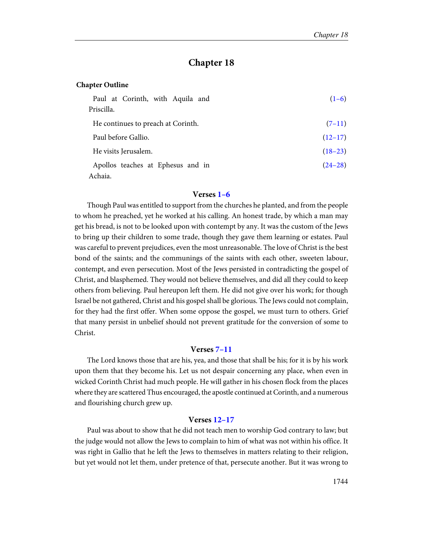### **Chapter Outline**

| Paul at Corinth, with Aquila and   | $(1-6)$   |
|------------------------------------|-----------|
| Priscilla.                         |           |
| He continues to preach at Corinth. | $(7-11)$  |
| Paul before Gallio.                | $(12-17)$ |
| He visits Jerusalem.               | $(18-23)$ |
| Apollos teaches at Ephesus and in  | $(24-28)$ |
| Achaia.                            |           |

# **Verses [1–6](http://www.ccel.org/study/Bible:Acts.18.1-Acts.18.6)**

Though Paul was entitled to support from the churches he planted, and from the people to whom he preached, yet he worked at his calling. An honest trade, by which a man may get his bread, is not to be looked upon with contempt by any. It was the custom of the Jews to bring up their children to some trade, though they gave them learning or estates. Paul was careful to prevent prejudices, even the most unreasonable. The love of Christ is the best bond of the saints; and the communings of the saints with each other, sweeten labour, contempt, and even persecution. Most of the Jews persisted in contradicting the gospel of Christ, and blasphemed. They would not believe themselves, and did all they could to keep others from believing. Paul hereupon left them. He did not give over his work; for though Israel be not gathered, Christ and his gospel shall be glorious. The Jews could not complain, for they had the first offer. When some oppose the gospel, we must turn to others. Grief that many persist in unbelief should not prevent gratitude for the conversion of some to Christ.

## **Verses [7–11](http://www.ccel.org/study/Bible:Acts.18.7-Acts.18.11)**

The Lord knows those that are his, yea, and those that shall be his; for it is by his work upon them that they become his. Let us not despair concerning any place, when even in wicked Corinth Christ had much people. He will gather in his chosen flock from the places where they are scattered Thus encouraged, the apostle continued at Corinth, and a numerous and flourishing church grew up.

### **Verses [12–17](http://www.ccel.org/study/Bible:Acts.18.12-Acts.18.17)**

Paul was about to show that he did not teach men to worship God contrary to law; but the judge would not allow the Jews to complain to him of what was not within his office. It was right in Gallio that he left the Jews to themselves in matters relating to their religion, but yet would not let them, under pretence of that, persecute another. But it was wrong to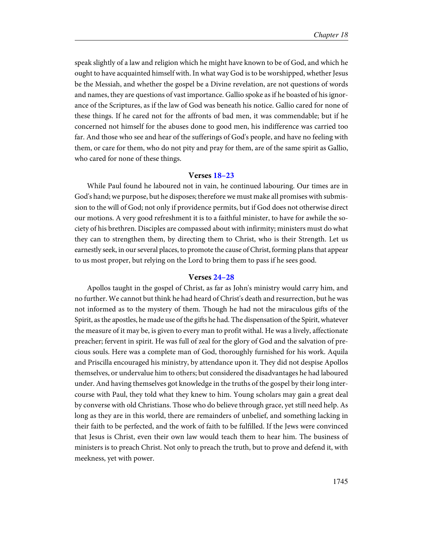speak slightly of a law and religion which he might have known to be of God, and which he ought to have acquainted himself with. In what way God is to be worshipped, whether Jesus be the Messiah, and whether the gospel be a Divine revelation, are not questions of words and names, they are questions of vast importance. Gallio spoke as if he boasted of his ignorance of the Scriptures, as if the law of God was beneath his notice. Gallio cared for none of these things. If he cared not for the affronts of bad men, it was commendable; but if he concerned not himself for the abuses done to good men, his indifference was carried too far. And those who see and hear of the sufferings of God's people, and have no feeling with them, or care for them, who do not pity and pray for them, are of the same spirit as Gallio, who cared for none of these things.

## **Verses [18–23](http://www.ccel.org/study/Bible:Acts.18.18-Acts.18.23)**

While Paul found he laboured not in vain, he continued labouring. Our times are in God's hand; we purpose, but he disposes; therefore we must make all promises with submission to the will of God; not only if providence permits, but if God does not otherwise direct our motions. A very good refreshment it is to a faithful minister, to have for awhile the society of his brethren. Disciples are compassed about with infirmity; ministers must do what they can to strengthen them, by directing them to Christ, who is their Strength. Let us earnestly seek, in our several places, to promote the cause of Christ, forming plans that appear to us most proper, but relying on the Lord to bring them to pass if he sees good.

## **Verses [24–28](http://www.ccel.org/study/Bible:Acts.18.24-Acts.18.28)**

Apollos taught in the gospel of Christ, as far as John's ministry would carry him, and no further. We cannot but think he had heard of Christ's death and resurrection, but he was not informed as to the mystery of them. Though he had not the miraculous gifts of the Spirit, as the apostles, he made use of the gifts he had. The dispensation of the Spirit, whatever the measure of it may be, is given to every man to profit withal. He was a lively, affectionate preacher; fervent in spirit. He was full of zeal for the glory of God and the salvation of precious souls. Here was a complete man of God, thoroughly furnished for his work. Aquila and Priscilla encouraged his ministry, by attendance upon it. They did not despise Apollos themselves, or undervalue him to others; but considered the disadvantages he had laboured under. And having themselves got knowledge in the truths of the gospel by their long intercourse with Paul, they told what they knew to him. Young scholars may gain a great deal by converse with old Christians. Those who do believe through grace, yet still need help. As long as they are in this world, there are remainders of unbelief, and something lacking in their faith to be perfected, and the work of faith to be fulfilled. If the Jews were convinced that Jesus is Christ, even their own law would teach them to hear him. The business of ministers is to preach Christ. Not only to preach the truth, but to prove and defend it, with meekness, yet with power.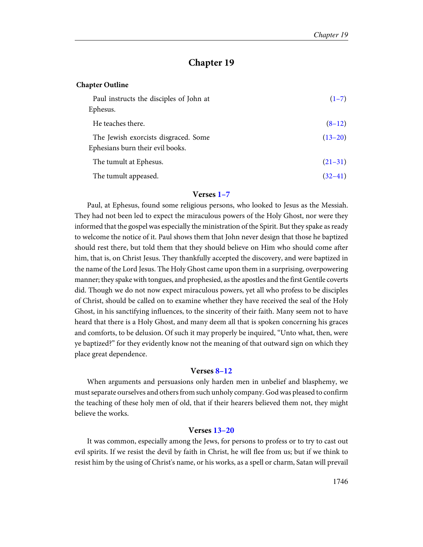### **Chapter Outline**

| Paul instructs the disciples of John at                                  | $(1-7)$   |
|--------------------------------------------------------------------------|-----------|
| Ephesus.                                                                 |           |
| He teaches there.                                                        | $(8-12)$  |
| The Jewish exorcists disgraced. Some<br>Ephesians burn their evil books. | $(13-20)$ |
| The tumult at Ephesus.                                                   | $(21-31)$ |
| The tumult appeased.                                                     | $(32-41)$ |

# **Verses [1–7](http://www.ccel.org/study/Bible:Acts.19.1-Acts.19.7)**

Paul, at Ephesus, found some religious persons, who looked to Jesus as the Messiah. They had not been led to expect the miraculous powers of the Holy Ghost, nor were they informed that the gospel was especially the ministration of the Spirit. But they spake as ready to welcome the notice of it. Paul shows them that John never design that those he baptized should rest there, but told them that they should believe on Him who should come after him, that is, on Christ Jesus. They thankfully accepted the discovery, and were baptized in the name of the Lord Jesus. The Holy Ghost came upon them in a surprising, overpowering manner; they spake with tongues, and prophesied, as the apostles and the first Gentile coverts did. Though we do not now expect miraculous powers, yet all who profess to be disciples of Christ, should be called on to examine whether they have received the seal of the Holy Ghost, in his sanctifying influences, to the sincerity of their faith. Many seem not to have heard that there is a Holy Ghost, and many deem all that is spoken concerning his graces and comforts, to be delusion. Of such it may properly be inquired, "Unto what, then, were ye baptized?" for they evidently know not the meaning of that outward sign on which they place great dependence.

## **Verses [8–12](http://www.ccel.org/study/Bible:Acts.19.8-Acts.19.12)**

When arguments and persuasions only harden men in unbelief and blasphemy, we must separate ourselves and others from such unholy company. God was pleased to confirm the teaching of these holy men of old, that if their hearers believed them not, they might believe the works.

## **Verses [13–20](http://www.ccel.org/study/Bible:Acts.19.13-Acts.19.20)**

It was common, especially among the Jews, for persons to profess or to try to cast out evil spirits. If we resist the devil by faith in Christ, he will flee from us; but if we think to resist him by the using of Christ's name, or his works, as a spell or charm, Satan will prevail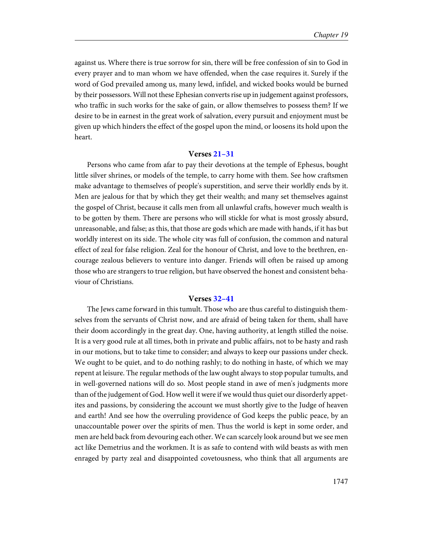against us. Where there is true sorrow for sin, there will be free confession of sin to God in every prayer and to man whom we have offended, when the case requires it. Surely if the word of God prevailed among us, many lewd, infidel, and wicked books would be burned by their possessors. Will not these Ephesian converts rise up in judgement against professors, who traffic in such works for the sake of gain, or allow themselves to possess them? If we desire to be in earnest in the great work of salvation, every pursuit and enjoyment must be given up which hinders the effect of the gospel upon the mind, or loosens its hold upon the heart.

# **Verses [21–31](http://www.ccel.org/study/Bible:Acts.19.21-Acts.19.31)**

Persons who came from afar to pay their devotions at the temple of Ephesus, bought little silver shrines, or models of the temple, to carry home with them. See how craftsmen make advantage to themselves of people's superstition, and serve their worldly ends by it. Men are jealous for that by which they get their wealth; and many set themselves against the gospel of Christ, because it calls men from all unlawful crafts, however much wealth is to be gotten by them. There are persons who will stickle for what is most grossly absurd, unreasonable, and false; as this, that those are gods which are made with hands, if it has but worldly interest on its side. The whole city was full of confusion, the common and natural effect of zeal for false religion. Zeal for the honour of Christ, and love to the brethren, encourage zealous believers to venture into danger. Friends will often be raised up among those who are strangers to true religion, but have observed the honest and consistent behaviour of Christians.

## **Verses [32–41](http://www.ccel.org/study/Bible:Acts.19.32-Acts.19.41)**

The Jews came forward in this tumult. Those who are thus careful to distinguish themselves from the servants of Christ now, and are afraid of being taken for them, shall have their doom accordingly in the great day. One, having authority, at length stilled the noise. It is a very good rule at all times, both in private and public affairs, not to be hasty and rash in our motions, but to take time to consider; and always to keep our passions under check. We ought to be quiet, and to do nothing rashly; to do nothing in haste, of which we may repent at leisure. The regular methods of the law ought always to stop popular tumults, and in well-governed nations will do so. Most people stand in awe of men's judgments more than of the judgement of God. How well it were if we would thus quiet our disorderly appetites and passions, by considering the account we must shortly give to the Judge of heaven and earth! And see how the overruling providence of God keeps the public peace, by an unaccountable power over the spirits of men. Thus the world is kept in some order, and men are held back from devouring each other. We can scarcely look around but we see men act like Demetrius and the workmen. It is as safe to contend with wild beasts as with men enraged by party zeal and disappointed covetousness, who think that all arguments are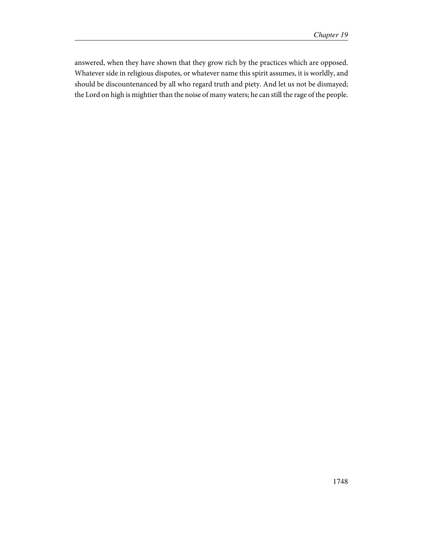answered, when they have shown that they grow rich by the practices which are opposed. Whatever side in religious disputes, or whatever name this spirit assumes, it is worldly, and should be discountenanced by all who regard truth and piety. And let us not be dismayed; the Lord on high is mightier than the noise of many waters; he can still the rage of the people.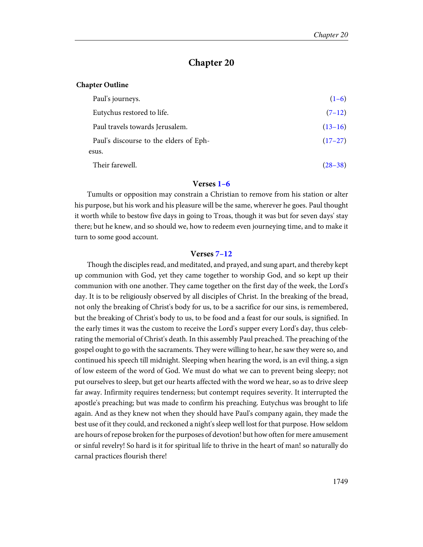#### **Chapter Outline**

| Paul's journeys.                       | $(1-6)$   |
|----------------------------------------|-----------|
| Eutychus restored to life.             | $(7-12)$  |
| Paul travels towards Jerusalem.        | $(13-16)$ |
| Paul's discourse to the elders of Eph- | $(17-27)$ |
| esus.                                  |           |
| Their farewell.                        | $(28-38)$ |

# **Verses [1–6](http://www.ccel.org/study/Bible:Acts.20.1-Acts.20.6)**

Tumults or opposition may constrain a Christian to remove from his station or alter his purpose, but his work and his pleasure will be the same, wherever he goes. Paul thought it worth while to bestow five days in going to Troas, though it was but for seven days' stay there; but he knew, and so should we, how to redeem even journeying time, and to make it turn to some good account.

#### **Verses [7–12](http://www.ccel.org/study/Bible:Acts.20.7-Acts.20.12)**

Though the disciples read, and meditated, and prayed, and sung apart, and thereby kept up communion with God, yet they came together to worship God, and so kept up their communion with one another. They came together on the first day of the week, the Lord's day. It is to be religiously observed by all disciples of Christ. In the breaking of the bread, not only the breaking of Christ's body for us, to be a sacrifice for our sins, is remembered, but the breaking of Christ's body to us, to be food and a feast for our souls, is signified. In the early times it was the custom to receive the Lord's supper every Lord's day, thus celebrating the memorial of Christ's death. In this assembly Paul preached. The preaching of the gospel ought to go with the sacraments. They were willing to hear, he saw they were so, and continued his speech till midnight. Sleeping when hearing the word, is an evil thing, a sign of low esteem of the word of God. We must do what we can to prevent being sleepy; not put ourselves to sleep, but get our hearts affected with the word we hear, so as to drive sleep far away. Infirmity requires tenderness; but contempt requires severity. It interrupted the apostle's preaching; but was made to confirm his preaching. Eutychus was brought to life again. And as they knew not when they should have Paul's company again, they made the best use of it they could, and reckoned a night's sleep well lost for that purpose. How seldom are hours of repose broken for the purposes of devotion! but how often for mere amusement or sinful revelry! So hard is it for spiritual life to thrive in the heart of man! so naturally do carnal practices flourish there!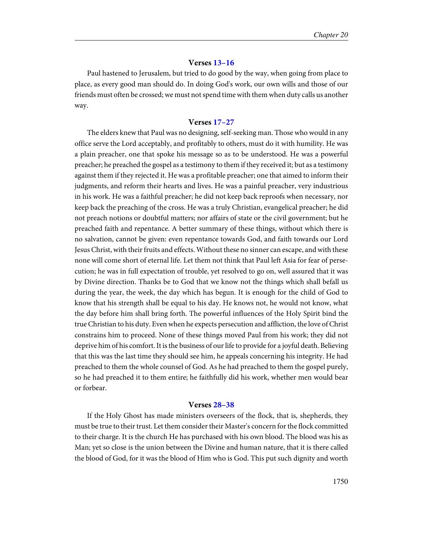## **Verses [13–16](http://www.ccel.org/study/Bible:Acts.20.13-Acts.20.16)**

Paul hastened to Jerusalem, but tried to do good by the way, when going from place to place, as every good man should do. In doing God's work, our own wills and those of our friends must often be crossed; we must not spend time with them when duty calls us another way.

# **Verses [17–27](http://www.ccel.org/study/Bible:Acts.20.17-Acts.20.27)**

The elders knew that Paul was no designing, self-seeking man. Those who would in any office serve the Lord acceptably, and profitably to others, must do it with humility. He was a plain preacher, one that spoke his message so as to be understood. He was a powerful preacher; he preached the gospel as a testimony to them if they received it; but as a testimony against them if they rejected it. He was a profitable preacher; one that aimed to inform their judgments, and reform their hearts and lives. He was a painful preacher, very industrious in his work. He was a faithful preacher; he did not keep back reproofs when necessary, nor keep back the preaching of the cross. He was a truly Christian, evangelical preacher; he did not preach notions or doubtful matters; nor affairs of state or the civil government; but he preached faith and repentance. A better summary of these things, without which there is no salvation, cannot be given: even repentance towards God, and faith towards our Lord Jesus Christ, with their fruits and effects. Without these no sinner can escape, and with these none will come short of eternal life. Let them not think that Paul left Asia for fear of persecution; he was in full expectation of trouble, yet resolved to go on, well assured that it was by Divine direction. Thanks be to God that we know not the things which shall befall us during the year, the week, the day which has begun. It is enough for the child of God to know that his strength shall be equal to his day. He knows not, he would not know, what the day before him shall bring forth. The powerful influences of the Holy Spirit bind the true Christian to his duty. Even when he expects persecution and affliction, the love of Christ constrains him to proceed. None of these things moved Paul from his work; they did not deprive him of his comfort. It is the business of our life to provide for a joyful death. Believing that this was the last time they should see him, he appeals concerning his integrity. He had preached to them the whole counsel of God. As he had preached to them the gospel purely, so he had preached it to them entire; he faithfully did his work, whether men would bear or forbear.

#### **Verses [28–38](http://www.ccel.org/study/Bible:Acts.20.28-Acts.20.38)**

If the Holy Ghost has made ministers overseers of the flock, that is, shepherds, they must be true to their trust. Let them consider their Master's concern for the flock committed to their charge. It is the church He has purchased with his own blood. The blood was his as Man; yet so close is the union between the Divine and human nature, that it is there called the blood of God, for it was the blood of Him who is God. This put such dignity and worth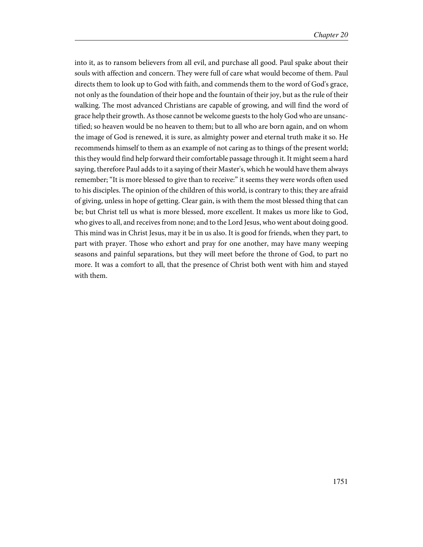into it, as to ransom believers from all evil, and purchase all good. Paul spake about their souls with affection and concern. They were full of care what would become of them. Paul directs them to look up to God with faith, and commends them to the word of God's grace, not only as the foundation of their hope and the fountain of their joy, but as the rule of their walking. The most advanced Christians are capable of growing, and will find the word of grace help their growth. As those cannot be welcome guests to the holy God who are unsanctified; so heaven would be no heaven to them; but to all who are born again, and on whom the image of God is renewed, it is sure, as almighty power and eternal truth make it so. He recommends himself to them as an example of not caring as to things of the present world; this they would find help forward their comfortable passage through it. It might seem a hard saying, therefore Paul adds to it a saying of their Master's, which he would have them always remember; "It is more blessed to give than to receive:" it seems they were words often used to his disciples. The opinion of the children of this world, is contrary to this; they are afraid of giving, unless in hope of getting. Clear gain, is with them the most blessed thing that can be; but Christ tell us what is more blessed, more excellent. It makes us more like to God, who gives to all, and receives from none; and to the Lord Jesus, who went about doing good. This mind was in Christ Jesus, may it be in us also. It is good for friends, when they part, to part with prayer. Those who exhort and pray for one another, may have many weeping seasons and painful separations, but they will meet before the throne of God, to part no more. It was a comfort to all, that the presence of Christ both went with him and stayed with them.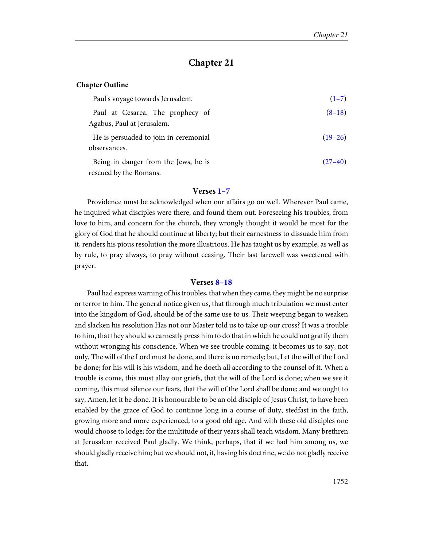#### **Chapter Outline**

| Paul's voyage towards Jerusalem.                               | $(1-7)$   |
|----------------------------------------------------------------|-----------|
| Paul at Cesarea. The prophecy of<br>Agabus, Paul at Jerusalem. | $(8-18)$  |
| He is persuaded to join in ceremonial<br>observances.          | $(19-26)$ |
| Being in danger from the Jews, he is<br>rescued by the Romans. | $(27-40)$ |

## **Verses [1–7](http://www.ccel.org/study/Bible:Acts.21.1-Acts.21.7)**

Providence must be acknowledged when our affairs go on well. Wherever Paul came, he inquired what disciples were there, and found them out. Foreseeing his troubles, from love to him, and concern for the church, they wrongly thought it would be most for the glory of God that he should continue at liberty; but their earnestness to dissuade him from it, renders his pious resolution the more illustrious. He has taught us by example, as well as by rule, to pray always, to pray without ceasing. Their last farewell was sweetened with prayer.

## **Verses [8–18](http://www.ccel.org/study/Bible:Acts.21.8-Acts.21.18)**

Paul had express warning of his troubles, that when they came, they might be no surprise or terror to him. The general notice given us, that through much tribulation we must enter into the kingdom of God, should be of the same use to us. Their weeping began to weaken and slacken his resolution Has not our Master told us to take up our cross? It was a trouble to him, that they should so earnestly press him to do that in which he could not gratify them without wronging his conscience. When we see trouble coming, it becomes us to say, not only, The will of the Lord must be done, and there is no remedy; but, Let the will of the Lord be done; for his will is his wisdom, and he doeth all according to the counsel of it. When a trouble is come, this must allay our griefs, that the will of the Lord is done; when we see it coming, this must silence our fears, that the will of the Lord shall be done; and we ought to say, Amen, let it be done. It is honourable to be an old disciple of Jesus Christ, to have been enabled by the grace of God to continue long in a course of duty, stedfast in the faith, growing more and more experienced, to a good old age. And with these old disciples one would choose to lodge; for the multitude of their years shall teach wisdom. Many brethren at Jerusalem received Paul gladly. We think, perhaps, that if we had him among us, we should gladly receive him; but we should not, if, having his doctrine, we do not gladly receive that.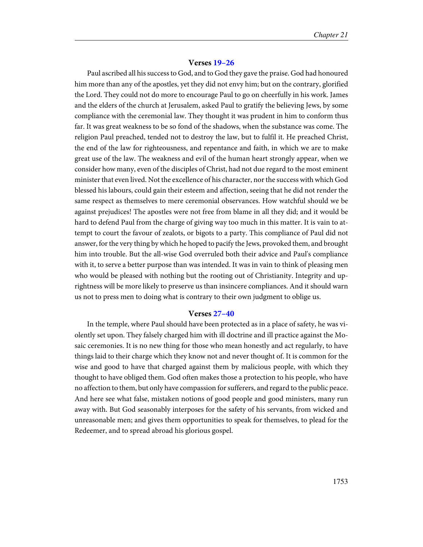# **Verses [19–26](http://www.ccel.org/study/Bible:Acts.21.19-Acts.21.26)**

Paul ascribed all his success to God, and to God they gave the praise. God had honoured him more than any of the apostles, yet they did not envy him; but on the contrary, glorified the Lord. They could not do more to encourage Paul to go on cheerfully in his work. James and the elders of the church at Jerusalem, asked Paul to gratify the believing Jews, by some compliance with the ceremonial law. They thought it was prudent in him to conform thus far. It was great weakness to be so fond of the shadows, when the substance was come. The religion Paul preached, tended not to destroy the law, but to fulfil it. He preached Christ, the end of the law for righteousness, and repentance and faith, in which we are to make great use of the law. The weakness and evil of the human heart strongly appear, when we consider how many, even of the disciples of Christ, had not due regard to the most eminent minister that even lived. Not the excellence of his character, nor the success with which God blessed his labours, could gain their esteem and affection, seeing that he did not render the same respect as themselves to mere ceremonial observances. How watchful should we be against prejudices! The apostles were not free from blame in all they did; and it would be hard to defend Paul from the charge of giving way too much in this matter. It is vain to attempt to court the favour of zealots, or bigots to a party. This compliance of Paul did not answer, for the very thing by which he hoped to pacify the Jews, provoked them, and brought him into trouble. But the all-wise God overruled both their advice and Paul's compliance with it, to serve a better purpose than was intended. It was in vain to think of pleasing men who would be pleased with nothing but the rooting out of Christianity. Integrity and uprightness will be more likely to preserve us than insincere compliances. And it should warn us not to press men to doing what is contrary to their own judgment to oblige us.

## **Verses [27–40](http://www.ccel.org/study/Bible:Acts.21.27-Acts.21.40)**

In the temple, where Paul should have been protected as in a place of safety, he was violently set upon. They falsely charged him with ill doctrine and ill practice against the Mosaic ceremonies. It is no new thing for those who mean honestly and act regularly, to have things laid to their charge which they know not and never thought of. It is common for the wise and good to have that charged against them by malicious people, with which they thought to have obliged them. God often makes those a protection to his people, who have no affection to them, but only have compassion for sufferers, and regard to the public peace. And here see what false, mistaken notions of good people and good ministers, many run away with. But God seasonably interposes for the safety of his servants, from wicked and unreasonable men; and gives them opportunities to speak for themselves, to plead for the Redeemer, and to spread abroad his glorious gospel.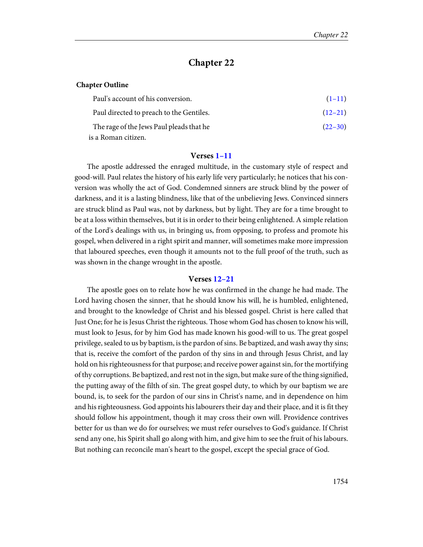#### **Chapter Outline**

| Paul's account of his conversion.        | $(1-11)$    |
|------------------------------------------|-------------|
| Paul directed to preach to the Gentiles. | $(12-21)$   |
| The rage of the Jews Paul pleads that he | $(22 - 30)$ |
| is a Roman citizen.                      |             |

# **Verses [1–11](http://www.ccel.org/study/Bible:Acts.22.1-Acts.22.11)**

The apostle addressed the enraged multitude, in the customary style of respect and good-will. Paul relates the history of his early life very particularly; he notices that his conversion was wholly the act of God. Condemned sinners are struck blind by the power of darkness, and it is a lasting blindness, like that of the unbelieving Jews. Convinced sinners are struck blind as Paul was, not by darkness, but by light. They are for a time brought to be at a loss within themselves, but it is in order to their being enlightened. A simple relation of the Lord's dealings with us, in bringing us, from opposing, to profess and promote his gospel, when delivered in a right spirit and manner, will sometimes make more impression that laboured speeches, even though it amounts not to the full proof of the truth, such as was shown in the change wrought in the apostle.

### **Verses [12–21](http://www.ccel.org/study/Bible:Acts.22.12-Acts.22.21)**

The apostle goes on to relate how he was confirmed in the change he had made. The Lord having chosen the sinner, that he should know his will, he is humbled, enlightened, and brought to the knowledge of Christ and his blessed gospel. Christ is here called that Just One; for he is Jesus Christ the righteous. Those whom God has chosen to know his will, must look to Jesus, for by him God has made known his good-will to us. The great gospel privilege, sealed to us by baptism, is the pardon of sins. Be baptized, and wash away thy sins; that is, receive the comfort of the pardon of thy sins in and through Jesus Christ, and lay hold on his righteousness for that purpose; and receive power against sin, for the mortifying of thy corruptions. Be baptized, and rest not in the sign, but make sure of the thing signified, the putting away of the filth of sin. The great gospel duty, to which by our baptism we are bound, is, to seek for the pardon of our sins in Christ's name, and in dependence on him and his righteousness. God appoints his labourers their day and their place, and it is fit they should follow his appointment, though it may cross their own will. Providence contrives better for us than we do for ourselves; we must refer ourselves to God's guidance. If Christ send any one, his Spirit shall go along with him, and give him to see the fruit of his labours. But nothing can reconcile man's heart to the gospel, except the special grace of God.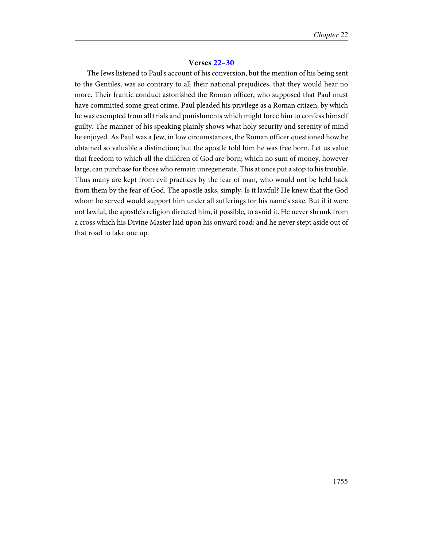# **Verses [22–30](http://www.ccel.org/study/Bible:Acts.22.22-Acts.22.30)**

The Jews listened to Paul's account of his conversion, but the mention of his being sent to the Gentiles, was so contrary to all their national prejudices, that they would hear no more. Their frantic conduct astonished the Roman officer, who supposed that Paul must have committed some great crime. Paul pleaded his privilege as a Roman citizen, by which he was exempted from all trials and punishments which might force him to confess himself guilty. The manner of his speaking plainly shows what holy security and serenity of mind he enjoyed. As Paul was a Jew, in low circumstances, the Roman officer questioned how he obtained so valuable a distinction; but the apostle told him he was free born. Let us value that freedom to which all the children of God are born; which no sum of money, however large, can purchase for those who remain unregenerate. This at once put a stop to his trouble. Thus many are kept from evil practices by the fear of man, who would not be held back from them by the fear of God. The apostle asks, simply, Is it lawful? He knew that the God whom he served would support him under all sufferings for his name's sake. But if it were not lawful, the apostle's religion directed him, if possible, to avoid it. He never shrunk from a cross which his Divine Master laid upon his onward road; and he never stept aside out of that road to take one up.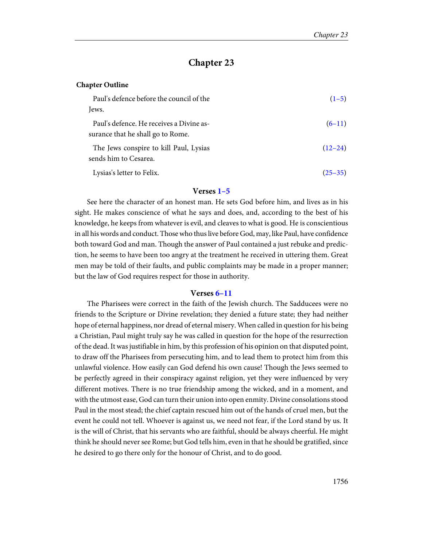#### **Chapter Outline**

| Paul's defence before the council of the                                      | $(1-5)$     |
|-------------------------------------------------------------------------------|-------------|
| Jews.                                                                         |             |
| Paul's defence. He receives a Divine as-<br>surance that he shall go to Rome. | $(6-11)$    |
| The Jews conspire to kill Paul, Lysias<br>sends him to Cesarea.               | $(12-24)$   |
| Lysias's letter to Felix.                                                     | $(25 - 35)$ |

# **Verses [1–5](http://www.ccel.org/study/Bible:Acts.23.1-Acts.23.5)**

See here the character of an honest man. He sets God before him, and lives as in his sight. He makes conscience of what he says and does, and, according to the best of his knowledge, he keeps from whatever is evil, and cleaves to what is good. He is conscientious in all his words and conduct. Those who thus live before God, may, like Paul, have confidence both toward God and man. Though the answer of Paul contained a just rebuke and prediction, he seems to have been too angry at the treatment he received in uttering them. Great men may be told of their faults, and public complaints may be made in a proper manner; but the law of God requires respect for those in authority.

## **Verses [6–11](http://www.ccel.org/study/Bible:Acts.23.6-Acts.23.11)**

The Pharisees were correct in the faith of the Jewish church. The Sadducees were no friends to the Scripture or Divine revelation; they denied a future state; they had neither hope of eternal happiness, nor dread of eternal misery. When called in question for his being a Christian, Paul might truly say he was called in question for the hope of the resurrection of the dead. It was justifiable in him, by this profession of his opinion on that disputed point, to draw off the Pharisees from persecuting him, and to lead them to protect him from this unlawful violence. How easily can God defend his own cause! Though the Jews seemed to be perfectly agreed in their conspiracy against religion, yet they were influenced by very different motives. There is no true friendship among the wicked, and in a moment, and with the utmost ease, God can turn their union into open enmity. Divine consolations stood Paul in the most stead; the chief captain rescued him out of the hands of cruel men, but the event he could not tell. Whoever is against us, we need not fear, if the Lord stand by us. It is the will of Christ, that his servants who are faithful, should be always cheerful. He might think he should never see Rome; but God tells him, even in that he should be gratified, since he desired to go there only for the honour of Christ, and to do good.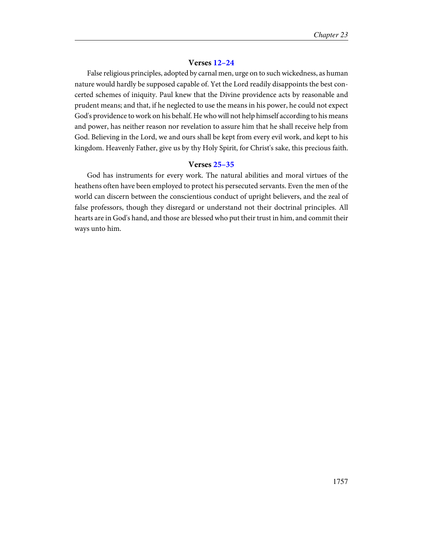# **Verses [12–24](http://www.ccel.org/study/Bible:Acts.23.12-Acts.23.24)**

False religious principles, adopted by carnal men, urge on to such wickedness, as human nature would hardly be supposed capable of. Yet the Lord readily disappoints the best concerted schemes of iniquity. Paul knew that the Divine providence acts by reasonable and prudent means; and that, if he neglected to use the means in his power, he could not expect God's providence to work on his behalf. He who will not help himself according to his means and power, has neither reason nor revelation to assure him that he shall receive help from God. Believing in the Lord, we and ours shall be kept from every evil work, and kept to his kingdom. Heavenly Father, give us by thy Holy Spirit, for Christ's sake, this precious faith.

# **Verses [25–35](http://www.ccel.org/study/Bible:Acts.23.25-Acts.23.35)**

God has instruments for every work. The natural abilities and moral virtues of the heathens often have been employed to protect his persecuted servants. Even the men of the world can discern between the conscientious conduct of upright believers, and the zeal of false professors, though they disregard or understand not their doctrinal principles. All hearts are in God's hand, and those are blessed who put their trust in him, and commit their ways unto him.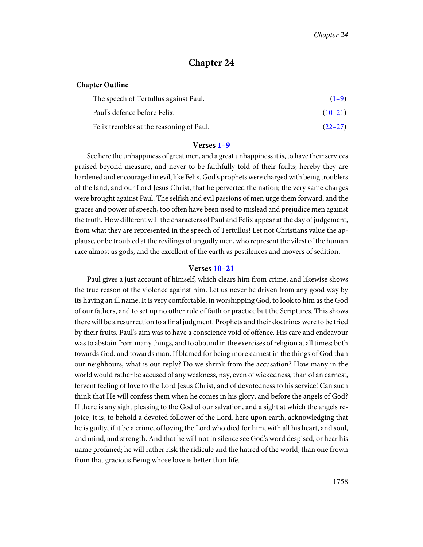### **Chapter Outline**

| The speech of Tertullus against Paul.    | $(1-9)$     |
|------------------------------------------|-------------|
| Paul's defence before Felix.             | $(10-21)$   |
| Felix trembles at the reasoning of Paul. | $(22 - 27)$ |

## **Verses [1–9](http://www.ccel.org/study/Bible:Acts.24.1-Acts.24.9)**

See here the unhappiness of great men, and a great unhappiness it is, to have their services praised beyond measure, and never to be faithfully told of their faults; hereby they are hardened and encouraged in evil, like Felix. God's prophets were charged with being troublers of the land, and our Lord Jesus Christ, that he perverted the nation; the very same charges were brought against Paul. The selfish and evil passions of men urge them forward, and the graces and power of speech, too often have been used to mislead and prejudice men against the truth. How different will the characters of Paul and Felix appear at the day of judgement, from what they are represented in the speech of Tertullus! Let not Christians value the applause, or be troubled at the revilings of ungodly men, who represent the vilest of the human race almost as gods, and the excellent of the earth as pestilences and movers of sedition.

## **Verses [10–21](http://www.ccel.org/study/Bible:Acts.24.10-Acts.24.21)**

Paul gives a just account of himself, which clears him from crime, and likewise shows the true reason of the violence against him. Let us never be driven from any good way by its having an ill name. It is very comfortable, in worshipping God, to look to him as the God of our fathers, and to set up no other rule of faith or practice but the Scriptures. This shows there will be a resurrection to a final judgment. Prophets and their doctrines were to be tried by their fruits. Paul's aim was to have a conscience void of offence. His care and endeavour was to abstain from many things, and to abound in the exercises of religion at all times; both towards God. and towards man. If blamed for being more earnest in the things of God than our neighbours, what is our reply? Do we shrink from the accusation? How many in the world would rather be accused of any weakness, nay, even of wickedness, than of an earnest, fervent feeling of love to the Lord Jesus Christ, and of devotedness to his service! Can such think that He will confess them when he comes in his glory, and before the angels of God? If there is any sight pleasing to the God of our salvation, and a sight at which the angels rejoice, it is, to behold a devoted follower of the Lord, here upon earth, acknowledging that he is guilty, if it be a crime, of loving the Lord who died for him, with all his heart, and soul, and mind, and strength. And that he will not in silence see God's word despised, or hear his name profaned; he will rather risk the ridicule and the hatred of the world, than one frown from that gracious Being whose love is better than life.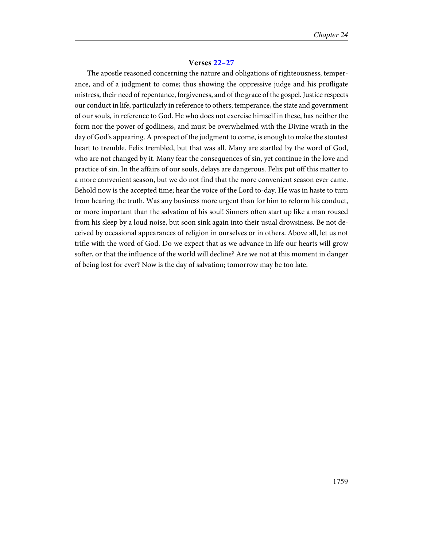# **Verses [22–27](http://www.ccel.org/study/Bible:Acts.24.22-Acts.24.27)**

The apostle reasoned concerning the nature and obligations of righteousness, temperance, and of a judgment to come; thus showing the oppressive judge and his profligate mistress, their need of repentance, forgiveness, and of the grace of the gospel. Justice respects our conduct in life, particularly in reference to others; temperance, the state and government of our souls, in reference to God. He who does not exercise himself in these, has neither the form nor the power of godliness, and must be overwhelmed with the Divine wrath in the day of God's appearing. A prospect of the judgment to come, is enough to make the stoutest heart to tremble. Felix trembled, but that was all. Many are startled by the word of God, who are not changed by it. Many fear the consequences of sin, yet continue in the love and practice of sin. In the affairs of our souls, delays are dangerous. Felix put off this matter to a more convenient season, but we do not find that the more convenient season ever came. Behold now is the accepted time; hear the voice of the Lord to-day. He was in haste to turn from hearing the truth. Was any business more urgent than for him to reform his conduct, or more important than the salvation of his soul! Sinners often start up like a man roused from his sleep by a loud noise, but soon sink again into their usual drowsiness. Be not deceived by occasional appearances of religion in ourselves or in others. Above all, let us not trifle with the word of God. Do we expect that as we advance in life our hearts will grow softer, or that the influence of the world will decline? Are we not at this moment in danger of being lost for ever? Now is the day of salvation; tomorrow may be too late.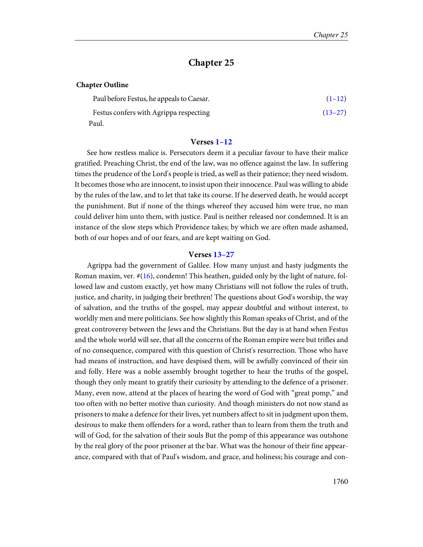#### **Chapter Outline**

| Paul before Festus, he appeals to Caesar. | $(1-12)$  |
|-------------------------------------------|-----------|
| Festus confers with Agrippa respecting    | $(13-27)$ |
| Paul.                                     |           |

## **Verses [1–12](http://www.ccel.org/study/Bible:Acts.25.1-Acts.25.12)**

See how restless malice is. Persecutors deem it a peculiar favour to have their malice gratified. Preaching Christ, the end of the law, was no offence against the law. In suffering times the prudence of the Lord's people is tried, as well as their patience; they need wisdom. It becomes those who are innocent, to insist upon their innocence. Paul was willing to abide by the rules of the law, and to let that take its course. If he deserved death, he would accept the punishment. But if none of the things whereof they accused him were true, no man could deliver him unto them, with justice. Paul is neither released nor condemned. It is an instance of the slow steps which Providence takes; by which we are often made ashamed, both of our hopes and of our fears, and are kept waiting on God.

# **Verses [13–27](http://www.ccel.org/study/Bible:Acts.25.13-Acts.25.27)**

Agrippa had the government of Galilee. How many unjust and hasty judgments the Roman maxim, ver.  $\#(16)$  $\#(16)$  $\#(16)$ , condemn! This heathen, guided only by the light of nature, followed law and custom exactly, yet how many Christians will not follow the rules of truth, justice, and charity, in judging their brethren! The questions about God's worship, the way of salvation, and the truths of the gospel, may appear doubtful and without interest, to worldly men and mere politicians. See how slightly this Roman speaks of Christ, and of the great controversy between the Jews and the Christians. But the day is at hand when Festus and the whole world will see, that all the concerns of the Roman empire were but trifles and of no consequence, compared with this question of Christ's resurrection. Those who have had means of instruction, and have despised them, will be awfully convinced of their sin and folly. Here was a noble assembly brought together to hear the truths of the gospel, though they only meant to gratify their curiosity by attending to the defence of a prisoner. Many, even now, attend at the places of hearing the word of God with "great pomp," and too often with no better motive than curiosity. And though ministers do not now stand as prisoners to make a defence for their lives, yet numbers affect to sit in judgment upon them, desirous to make them offenders for a word, rather than to learn from them the truth and will of God, for the salvation of their souls But the pomp of this appearance was outshone by the real glory of the poor prisoner at the bar. What was the honour of their fine appearance, compared with that of Paul's wisdom, and grace, and holiness; his courage and con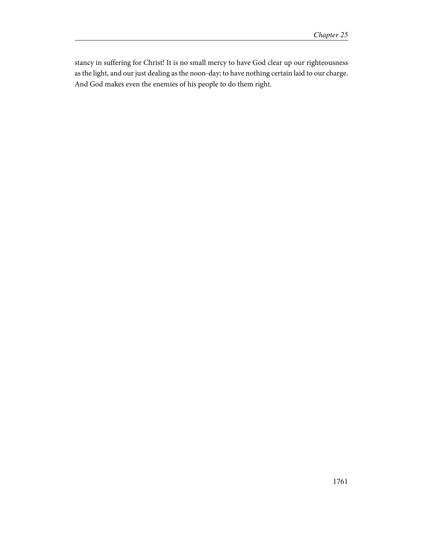stancy in suffering for Christ! It is no small mercy to have God clear up our righteousness as the light, and our just dealing as the noon-day; to have nothing certain laid to our charge. And God makes even the enemies of his people to do them right.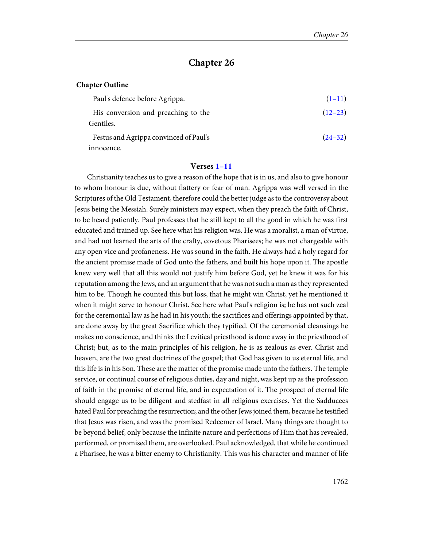## **Chapter Outline**

| Paul's defence before Agrippa.         | $(1-11)$  |
|----------------------------------------|-----------|
| His conversion and preaching to the    | $(12-23)$ |
| Gentiles.                              |           |
| Festus and Agrippa convinced of Paul's | $(24-32)$ |
| innocence.                             |           |

# **Verses [1–11](http://www.ccel.org/study/Bible:Acts.26.1-Acts.26.11)**

Christianity teaches us to give a reason of the hope that is in us, and also to give honour to whom honour is due, without flattery or fear of man. Agrippa was well versed in the Scriptures of the Old Testament, therefore could the better judge as to the controversy about Jesus being the Messiah. Surely ministers may expect, when they preach the faith of Christ, to be heard patiently. Paul professes that he still kept to all the good in which he was first educated and trained up. See here what his religion was. He was a moralist, a man of virtue, and had not learned the arts of the crafty, covetous Pharisees; he was not chargeable with any open vice and profaneness. He was sound in the faith. He always had a holy regard for the ancient promise made of God unto the fathers, and built his hope upon it. The apostle knew very well that all this would not justify him before God, yet he knew it was for his reputation among the Jews, and an argument that he was not such a man as they represented him to be. Though he counted this but loss, that he might win Christ, yet he mentioned it when it might serve to honour Christ. See here what Paul's religion is; he has not such zeal for the ceremonial law as he had in his youth; the sacrifices and offerings appointed by that, are done away by the great Sacrifice which they typified. Of the ceremonial cleansings he makes no conscience, and thinks the Levitical priesthood is done away in the priesthood of Christ; but, as to the main principles of his religion, he is as zealous as ever. Christ and heaven, are the two great doctrines of the gospel; that God has given to us eternal life, and this life is in his Son. These are the matter of the promise made unto the fathers. The temple service, or continual course of religious duties, day and night, was kept up as the profession of faith in the promise of eternal life, and in expectation of it. The prospect of eternal life should engage us to be diligent and stedfast in all religious exercises. Yet the Sadducees hated Paul for preaching the resurrection; and the other Jews joined them, because he testified that Jesus was risen, and was the promised Redeemer of Israel. Many things are thought to be beyond belief, only because the infinite nature and perfections of Him that has revealed, performed, or promised them, are overlooked. Paul acknowledged, that while he continued a Pharisee, he was a bitter enemy to Christianity. This was his character and manner of life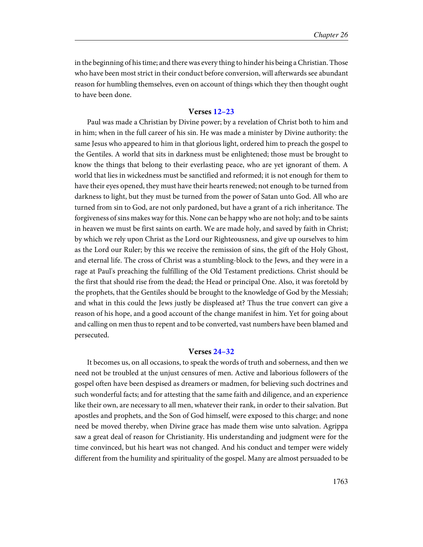in the beginning of his time; and there was every thing to hinder his being a Christian. Those who have been most strict in their conduct before conversion, will afterwards see abundant reason for humbling themselves, even on account of things which they then thought ought to have been done.

## **Verses [12–23](http://www.ccel.org/study/Bible:Acts.26.12-Acts.26.23)**

Paul was made a Christian by Divine power; by a revelation of Christ both to him and in him; when in the full career of his sin. He was made a minister by Divine authority: the same Jesus who appeared to him in that glorious light, ordered him to preach the gospel to the Gentiles. A world that sits in darkness must be enlightened; those must be brought to know the things that belong to their everlasting peace, who are yet ignorant of them. A world that lies in wickedness must be sanctified and reformed; it is not enough for them to have their eyes opened, they must have their hearts renewed; not enough to be turned from darkness to light, but they must be turned from the power of Satan unto God. All who are turned from sin to God, are not only pardoned, but have a grant of a rich inheritance. The forgiveness of sins makes way for this. None can be happy who are not holy; and to be saints in heaven we must be first saints on earth. We are made holy, and saved by faith in Christ; by which we rely upon Christ as the Lord our Righteousness, and give up ourselves to him as the Lord our Ruler; by this we receive the remission of sins, the gift of the Holy Ghost, and eternal life. The cross of Christ was a stumbling-block to the Jews, and they were in a rage at Paul's preaching the fulfilling of the Old Testament predictions. Christ should be the first that should rise from the dead; the Head or principal One. Also, it was foretold by the prophets, that the Gentiles should be brought to the knowledge of God by the Messiah; and what in this could the Jews justly be displeased at? Thus the true convert can give a reason of his hope, and a good account of the change manifest in him. Yet for going about and calling on men thus to repent and to be converted, vast numbers have been blamed and persecuted.

## **Verses [24–32](http://www.ccel.org/study/Bible:Acts.26.24-Acts.26.32)**

It becomes us, on all occasions, to speak the words of truth and soberness, and then we need not be troubled at the unjust censures of men. Active and laborious followers of the gospel often have been despised as dreamers or madmen, for believing such doctrines and such wonderful facts; and for attesting that the same faith and diligence, and an experience like their own, are necessary to all men, whatever their rank, in order to their salvation. But apostles and prophets, and the Son of God himself, were exposed to this charge; and none need be moved thereby, when Divine grace has made them wise unto salvation. Agrippa saw a great deal of reason for Christianity. His understanding and judgment were for the time convinced, but his heart was not changed. And his conduct and temper were widely different from the humility and spirituality of the gospel. Many are almost persuaded to be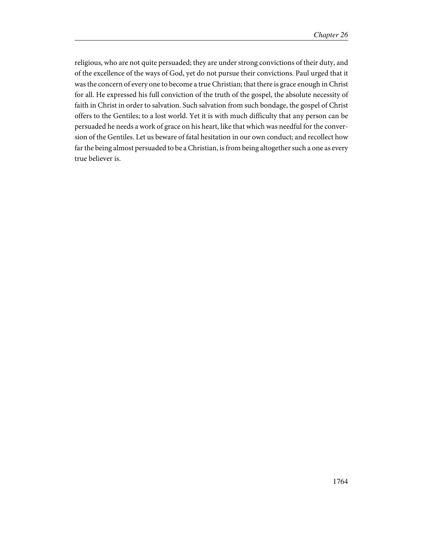religious, who are not quite persuaded; they are under strong convictions of their duty, and of the excellence of the ways of God, yet do not pursue their convictions. Paul urged that it was the concern of every one to become a true Christian; that there is grace enough in Christ for all. He expressed his full conviction of the truth of the gospel, the absolute necessity of faith in Christ in order to salvation. Such salvation from such bondage, the gospel of Christ offers to the Gentiles; to a lost world. Yet it is with much difficulty that any person can be persuaded he needs a work of grace on his heart, like that which was needful for the conversion of the Gentiles. Let us beware of fatal hesitation in our own conduct; and recollect how far the being almost persuaded to be a Christian, is from being altogether such a one as every true believer is.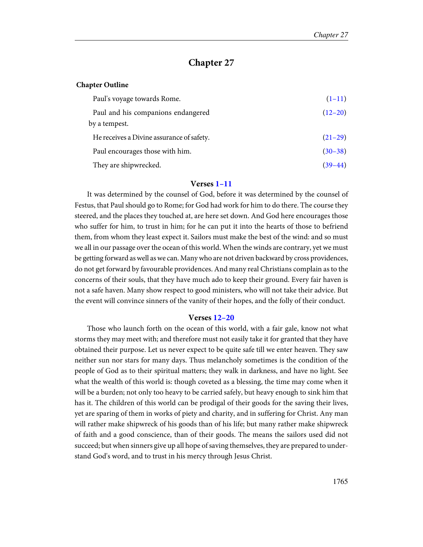## **Chapter Outline**

| Paul's voyage towards Rome.               | $(1-11)$  |
|-------------------------------------------|-----------|
| Paul and his companions endangered        | $(12-20)$ |
| by a tempest.                             |           |
| He receives a Divine assurance of safety. | $(21-29)$ |
| Paul encourages those with him.           | $(30-38)$ |
| They are shipwrecked.                     | $(39-44)$ |

# **Verses [1–11](http://www.ccel.org/study/Bible:Acts.27.1-Acts.27.11)**

It was determined by the counsel of God, before it was determined by the counsel of Festus, that Paul should go to Rome; for God had work for him to do there. The course they steered, and the places they touched at, are here set down. And God here encourages those who suffer for him, to trust in him; for he can put it into the hearts of those to befriend them, from whom they least expect it. Sailors must make the best of the wind: and so must we all in our passage over the ocean of this world. When the winds are contrary, yet we must be getting forward as well as we can. Many who are not driven backward by cross providences, do not get forward by favourable providences. And many real Christians complain as to the concerns of their souls, that they have much ado to keep their ground. Every fair haven is not a safe haven. Many show respect to good ministers, who will not take their advice. But the event will convince sinners of the vanity of their hopes, and the folly of their conduct.

## **Verses [12–20](http://www.ccel.org/study/Bible:Acts.27.12-Acts.27.20)**

Those who launch forth on the ocean of this world, with a fair gale, know not what storms they may meet with; and therefore must not easily take it for granted that they have obtained their purpose. Let us never expect to be quite safe till we enter heaven. They saw neither sun nor stars for many days. Thus melancholy sometimes is the condition of the people of God as to their spiritual matters; they walk in darkness, and have no light. See what the wealth of this world is: though coveted as a blessing, the time may come when it will be a burden; not only too heavy to be carried safely, but heavy enough to sink him that has it. The children of this world can be prodigal of their goods for the saving their lives, yet are sparing of them in works of piety and charity, and in suffering for Christ. Any man will rather make shipwreck of his goods than of his life; but many rather make shipwreck of faith and a good conscience, than of their goods. The means the sailors used did not succeed; but when sinners give up all hope of saving themselves, they are prepared to understand God's word, and to trust in his mercy through Jesus Christ.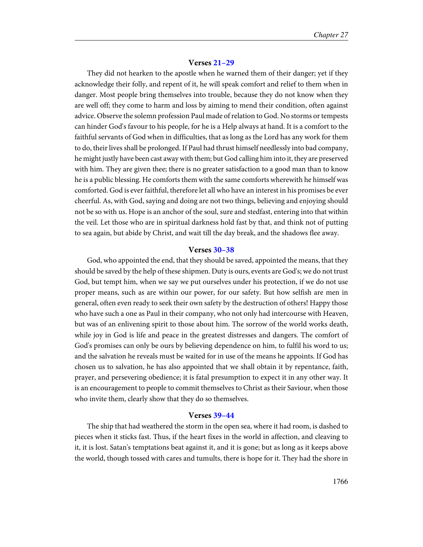# **Verses [21–29](http://www.ccel.org/study/Bible:Acts.27.21-Acts.27.29)**

They did not hearken to the apostle when he warned them of their danger; yet if they acknowledge their folly, and repent of it, he will speak comfort and relief to them when in danger. Most people bring themselves into trouble, because they do not know when they are well off; they come to harm and loss by aiming to mend their condition, often against advice. Observe the solemn profession Paul made of relation to God. No storms or tempests can hinder God's favour to his people, for he is a Help always at hand. It is a comfort to the faithful servants of God when in difficulties, that as long as the Lord has any work for them to do, their lives shall be prolonged. If Paul had thrust himself needlessly into bad company, he might justly have been cast away with them; but God calling him into it, they are preserved with him. They are given thee; there is no greater satisfaction to a good man than to know he is a public blessing. He comforts them with the same comforts wherewith he himself was comforted. God is ever faithful, therefore let all who have an interest in his promises be ever cheerful. As, with God, saying and doing are not two things, believing and enjoying should not be so with us. Hope is an anchor of the soul, sure and stedfast, entering into that within the veil. Let those who are in spiritual darkness hold fast by that, and think not of putting to sea again, but abide by Christ, and wait till the day break, and the shadows flee away.

## **Verses [30–38](http://www.ccel.org/study/Bible:Acts.27.30-Acts.27.38)**

God, who appointed the end, that they should be saved, appointed the means, that they should be saved by the help of these shipmen. Duty is ours, events are God's; we do not trust God, but tempt him, when we say we put ourselves under his protection, if we do not use proper means, such as are within our power, for our safety. But how selfish are men in general, often even ready to seek their own safety by the destruction of others! Happy those who have such a one as Paul in their company, who not only had intercourse with Heaven, but was of an enlivening spirit to those about him. The sorrow of the world works death, while joy in God is life and peace in the greatest distresses and dangers. The comfort of God's promises can only be ours by believing dependence on him, to fulfil his word to us; and the salvation he reveals must be waited for in use of the means he appoints. If God has chosen us to salvation, he has also appointed that we shall obtain it by repentance, faith, prayer, and persevering obedience; it is fatal presumption to expect it in any other way. It is an encouragement to people to commit themselves to Christ as their Saviour, when those who invite them, clearly show that they do so themselves.

## **Verses [39–44](http://www.ccel.org/study/Bible:Acts.27.39-Acts.27.44)**

The ship that had weathered the storm in the open sea, where it had room, is dashed to pieces when it sticks fast. Thus, if the heart fixes in the world in affection, and cleaving to it, it is lost. Satan's temptations beat against it, and it is gone; but as long as it keeps above the world, though tossed with cares and tumults, there is hope for it. They had the shore in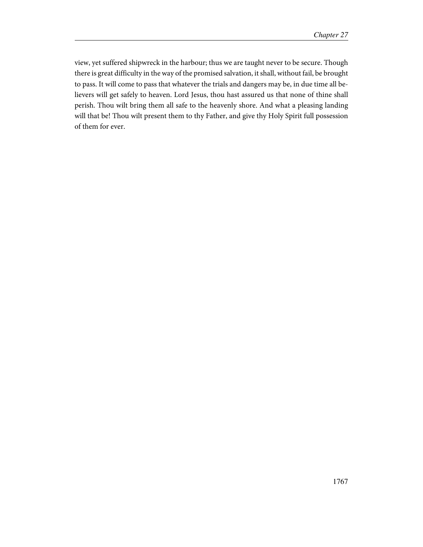view, yet suffered shipwreck in the harbour; thus we are taught never to be secure. Though there is great difficulty in the way of the promised salvation, it shall, without fail, be brought to pass. It will come to pass that whatever the trials and dangers may be, in due time all believers will get safely to heaven. Lord Jesus, thou hast assured us that none of thine shall perish. Thou wilt bring them all safe to the heavenly shore. And what a pleasing landing will that be! Thou wilt present them to thy Father, and give thy Holy Spirit full possession of them for ever.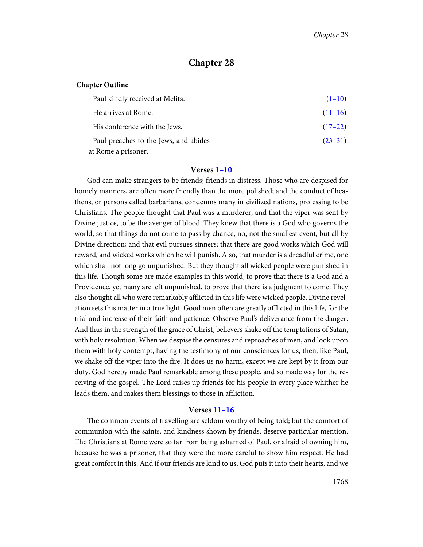### **Chapter Outline**

| Paul kindly received at Melita.       | $(1-10)$  |
|---------------------------------------|-----------|
| He arrives at Rome.                   | $(11-16)$ |
| His conference with the Jews.         | $(17-22)$ |
| Paul preaches to the Jews, and abides | $(23-31)$ |
| at Rome a prisoner.                   |           |

### **Verses [1–10](http://www.ccel.org/study/Bible:Acts.28.1-Acts.28.10)**

God can make strangers to be friends; friends in distress. Those who are despised for homely manners, are often more friendly than the more polished; and the conduct of heathens, or persons called barbarians, condemns many in civilized nations, professing to be Christians. The people thought that Paul was a murderer, and that the viper was sent by Divine justice, to be the avenger of blood. They knew that there is a God who governs the world, so that things do not come to pass by chance, no, not the smallest event, but all by Divine direction; and that evil pursues sinners; that there are good works which God will reward, and wicked works which he will punish. Also, that murder is a dreadful crime, one which shall not long go unpunished. But they thought all wicked people were punished in this life. Though some are made examples in this world, to prove that there is a God and a Providence, yet many are left unpunished, to prove that there is a judgment to come. They also thought all who were remarkably afflicted in this life were wicked people. Divine revelation sets this matter in a true light. Good men often are greatly afflicted in this life, for the trial and increase of their faith and patience. Observe Paul's deliverance from the danger. And thus in the strength of the grace of Christ, believers shake off the temptations of Satan, with holy resolution. When we despise the censures and reproaches of men, and look upon them with holy contempt, having the testimony of our consciences for us, then, like Paul, we shake off the viper into the fire. It does us no harm, except we are kept by it from our duty. God hereby made Paul remarkable among these people, and so made way for the receiving of the gospel. The Lord raises up friends for his people in every place whither he leads them, and makes them blessings to those in affliction.

# **Verses [11–16](http://www.ccel.org/study/Bible:Acts.28.11-Acts.28.16)**

The common events of travelling are seldom worthy of being told; but the comfort of communion with the saints, and kindness shown by friends, deserve particular mention. The Christians at Rome were so far from being ashamed of Paul, or afraid of owning him, because he was a prisoner, that they were the more careful to show him respect. He had great comfort in this. And if our friends are kind to us, God puts it into their hearts, and we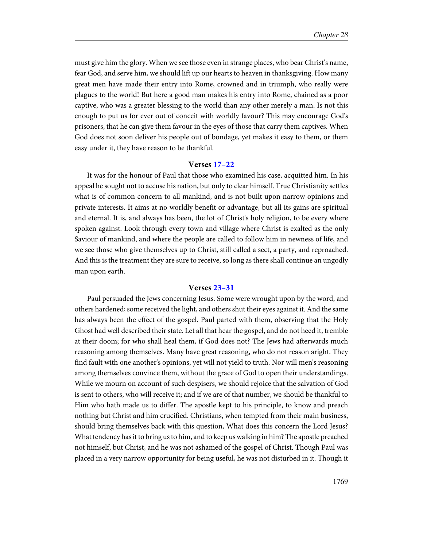must give him the glory. When we see those even in strange places, who bear Christ's name, fear God, and serve him, we should lift up our hearts to heaven in thanksgiving. How many great men have made their entry into Rome, crowned and in triumph, who really were plagues to the world! But here a good man makes his entry into Rome, chained as a poor captive, who was a greater blessing to the world than any other merely a man. Is not this enough to put us for ever out of conceit with worldly favour? This may encourage God's prisoners, that he can give them favour in the eyes of those that carry them captives. When God does not soon deliver his people out of bondage, yet makes it easy to them, or them easy under it, they have reason to be thankful.

# **Verses [17–22](http://www.ccel.org/study/Bible:Acts.28.17-Acts.28.22)**

It was for the honour of Paul that those who examined his case, acquitted him. In his appeal he sought not to accuse his nation, but only to clear himself. True Christianity settles what is of common concern to all mankind, and is not built upon narrow opinions and private interests. It aims at no worldly benefit or advantage, but all its gains are spiritual and eternal. It is, and always has been, the lot of Christ's holy religion, to be every where spoken against. Look through every town and village where Christ is exalted as the only Saviour of mankind, and where the people are called to follow him in newness of life, and we see those who give themselves up to Christ, still called a sect, a party, and reproached. And this is the treatment they are sure to receive, so long as there shall continue an ungodly man upon earth.

#### **Verses [23–31](http://www.ccel.org/study/Bible:Acts.28.23-Acts.28.31)**

Paul persuaded the Jews concerning Jesus. Some were wrought upon by the word, and others hardened; some received the light, and others shut their eyes against it. And the same has always been the effect of the gospel. Paul parted with them, observing that the Holy Ghost had well described their state. Let all that hear the gospel, and do not heed it, tremble at their doom; for who shall heal them, if God does not? The Jews had afterwards much reasoning among themselves. Many have great reasoning, who do not reason aright. They find fault with one another's opinions, yet will not yield to truth. Nor will men's reasoning among themselves convince them, without the grace of God to open their understandings. While we mourn on account of such despisers, we should rejoice that the salvation of God is sent to others, who will receive it; and if we are of that number, we should be thankful to Him who hath made us to differ. The apostle kept to his principle, to know and preach nothing but Christ and him crucified. Christians, when tempted from their main business, should bring themselves back with this question, What does this concern the Lord Jesus? What tendency has it to bring us to him, and to keep us walking in him? The apostle preached not himself, but Christ, and he was not ashamed of the gospel of Christ. Though Paul was placed in a very narrow opportunity for being useful, he was not disturbed in it. Though it